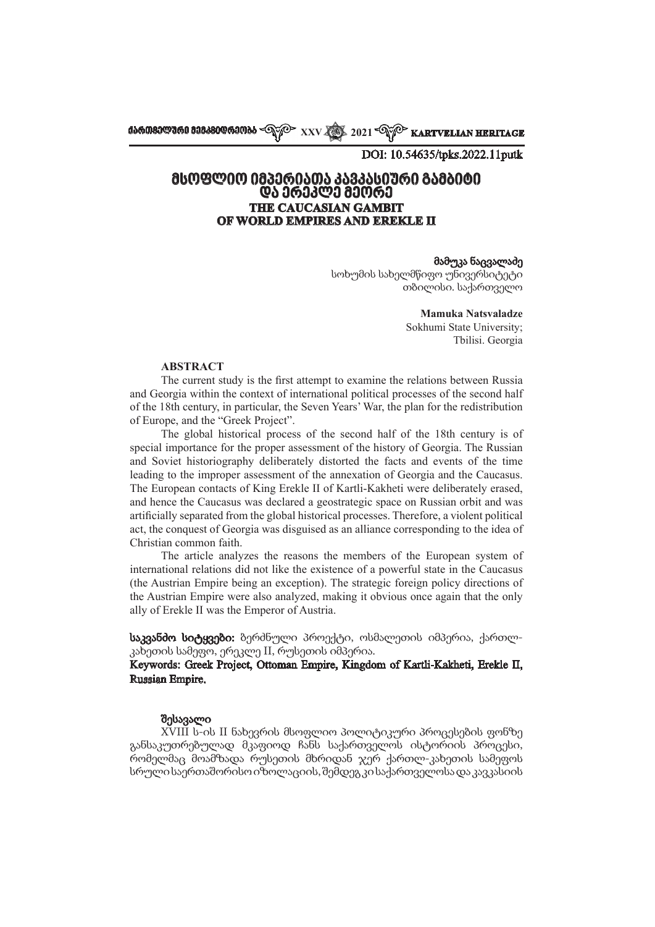**ქართველური მემკვიდრეობა XXV 2021 KARTVELIAN HERITAGE**

DOI: 10.54635/tpks.2022.11putk

# **მსოფლიო იმპერიათა კავკასიური გამბიტი და ერეკლე მეორე THE CAUCASIAN GAMBIT OF WORLD EMPIRES AND EREKLE II**

#### მამუკა ნაცვალაძე

სოხუმის სახელმწიფო უნივერსიტეტი თბილისი. საქართველო

> **Mamuka Natsvaladze**  Sokhumi State University;

Tbilisi. Georgia

#### **ABSTRACT**

The current study is the first attempt to examine the relations between Russia and Georgia within the context of international political processes of the second half of the 18th century, in particular, the Seven Years' War, the plan for the redistribution of Europe, and the "Greek Project".

The global historical process of the second half of the 18th century is of special importance for the proper assessment of the history of Georgia. The Russian and Soviet historiography deliberately distorted the facts and events of the time leading to the improper assessment of the annexation of Georgia and the Caucasus. The European contacts of King Erekle II of Kartli-Kakheti were deliberately erased, and hence the Caucasus was declared a geostrategic space on Russian orbit and was artificially separated from the global historical processes. Therefore, a violent political act, the conquest of Georgia was disguised as an alliance corresponding to the idea of Christian common faith.

The article analyzes the reasons the members of the European system of international relations did not like the existence of a powerful state in the Caucasus (the Austrian Empire being an exception). The strategic foreign policy directions of the Austrian Empire were also analyzed, making it obvious once again that the only ally of Erekle II was the Emperor of Austria.

საკვანძო სიტყვები: ბერძნული პროექტი, ოსმალეთის იმპერია, ქართლკახეთის სამეფო, ერეკლე II, რუსეთის იმპერია.

Keywords: Greek Project, Ottoman Empire, Kingdom of Kartli-Kakheti, Erekle II, Russian Empire.

#### შესავალი

XVIII ს-ის II ნახევრის მსოფლიო პოლიტიკური პროცესების ფონზე განსაკუთრებულად მკაფიოდ ჩანს საქართველოს ისტორიის პროცესი, რომელმაც მოამზადა რუსეთის მხრიდან ჯერ ქართლ-კახეთის სამეფოს სრული საერთაშორისო იზოლაციის, შემდეგ კი საქართველოსა და კავკასიის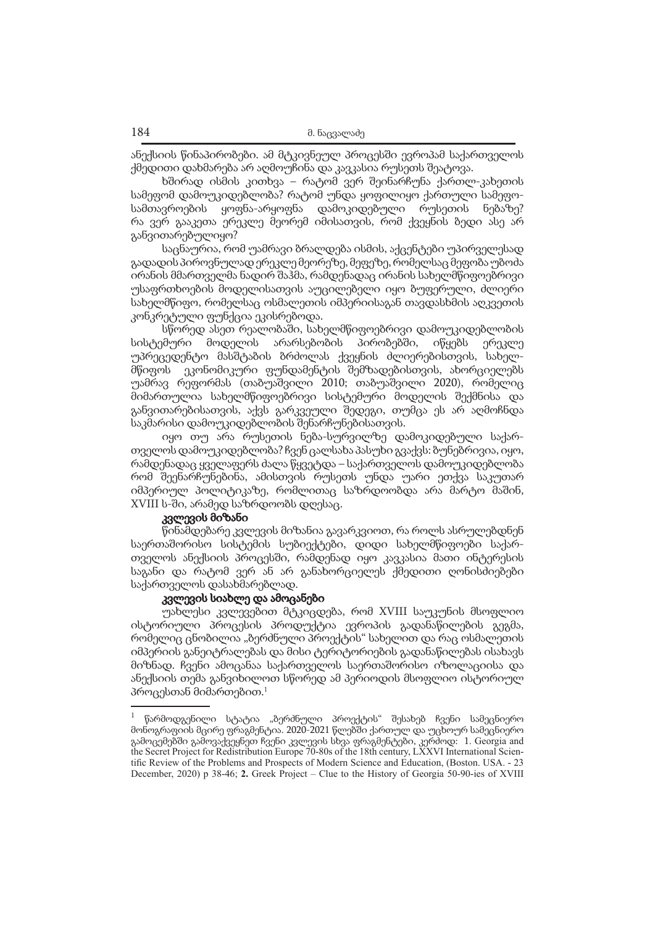ანექსიის წინაპირობები. ამ მტკივნეულ პროცესში ევროპამ საქართველოს ქმედითი დახმარება არ აღმოუჩინა და კავკასია რუსეთს შეატოვა.

ხშირად ისმის კითხვა – რატომ ვერ შეინარჩუნა ქართლ-კახეთის სამეფომ დამოუკიდებლობა? რატომ უნდა ყოფილიყო ქართული სამეფოსამთავროების ყოფნა-არყოფნა დამოკიდებული რუსეთის ნებაზე? რა ვერ გააკეთა ერეკლე მეორემ იმისათვის, რომ ქვეყნის ბედი ასე არ განვითარებულიყო?

საცნაურია, რომ უამრავი ბრალდება ისმის, აქცენტები უპირველესად გადადის პიროვნულად ერეკლე მეორეზე, მეფეზე, რომელსაც მეფობა უბოძა ირანის მმართველმა ნადირ შაჰმა, რამდენადაც ირანის სახელმწიფოებრივი უსაფრთხოების მოდელისათვის აუცილებელი იყო ბუფერული, ძლიერი სახელმწიფო, რომელსაც ოსმალეთის იმპერიისაგან თავდასხმის აღკვეთის კონკრეტული ფუნქცია ეკისრებოდა.

სწორედ ასეთ რეალობაში, სახელმწიფოებრივი დამოუკიდებლობის სისტემური მოდელის არარსებობის პირობებში, იწყებს ერეკლე უპრეცედენტო მასშტაბის ბრძოლას ქვეყნის ძლიერებისთვის, სახელ-<br>მწიფოს ეკონომიკური ფუნდამენტის შემზადებისთვის, ახორციელებს ეკონომიკური ფუნდამენტის შემზადებისთვის, ახორციელებს უამრავ რეფორმას (თაბუაშვილი 2010; თაბუაშვილი 2020), რომელიც მიმართულია სახელმწიფოებრივი სისტემური მოდელის შექმნისა და განვითარებისათვის, აქვს გარკვეული შედეგი, თუმცა ეს არ აღმოჩნდა საკმარისი დამოუკიდებლობის შენარჩუნებისათვის.

იყო თუ არა რუსეთის ნება-სურვილზე დამოკიდებული საქართველოს დამოუკიდებლობა? ჩვენ ცალსახა პასუხი გვაქვს: ბუნებრივია, იყო, რამდენადაც ყველაფერს ძალა წყვეტდა – საქართველოს დამოუკიდებლობა რომ შეენარჩუნებინა, ამისთვის რუსეთს უნდა უარი ეთქვა საკუთარ იმპერიულ პოლიტიკაზე, რომლითაც საზრდოობდა არა მარტო მაშინ, XVIII ს-ში, არამედ საზრდოობს დღესაც.

### კვლევის მიზანი

წინამდებარე კვლევის მიზანია გავარკვიოთ, რა როლს ასრულებდნენ საერთაშორისო სისტემის სუბიექტები, დიდი სახელმწიფოები საქართველოს ანექსიის პროცესში, რამდენად იყო კავკასია მათი ინტერესის საგანი და რატომ ვერ ან არ განახორციელეს ქმედითი ღონისძიებები საქართველოს დასახმარებლად.

### კვლევის სიახლე და ამოცანები

უახლესი კვლევებით მტკიცდება, რომ XVIII საუკუნის მსოფლიო ისტორიული პროცესის პროდუქტია ევროპის გადანაწილების გეგმა, რომელიც ცნობილია "ბერძნული პროექტის" სახელით და რაც ოსმალეთის იმპერიის განეიტრალებას და მისი ტერიტორიების გადანაწილებას ისახავს მიზნად. ჩვენი ამოცანაა საქართველოს საერთაშორისო იზოლაციისა და ანექსიის თემა განვიხილოთ სწორედ ამ პერიოდის მსოფლიო ისტორიულ პროცესთან მიმართებით.<sup>1</sup>

<sup>1</sup> წარმოდგენილი სტატია "ბერძნული პროექტის" შესახებ ჩვენი სამეცნიერო მონოგრაფიის მცირე ფრაგმენტია. 2020-2021 წლებში ქართულ და უცხოურ სამეცნიერო გამოცემებში გამოვაქვეყნეთ ჩვენი კვლევის სხვა ფრაგმენტები, კერძოდ: 1. Georgia and the Secret Project for Redistribution Europe 70-80s of the 18th century, LXXVI International Scientific Review of the Problems and Prospects of Modern Science and Education, (Boston. USA. - 23 December, 2020) p 38-46; **2.** Greek Project – Clue to the History of Georgia 50-90-ies of XVIII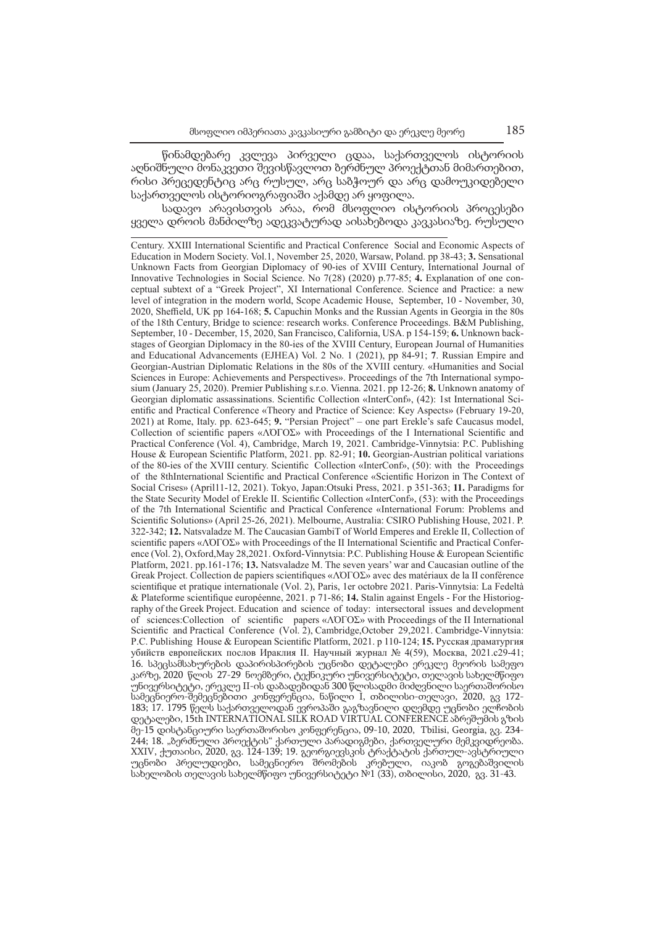წინამდებარე კვლევა პირველი ცდაა, საქართველოს ისტორიის აღნიშნული მონაკვეთი შევისწავლოთ ბერძნულ პროექტთან მიმართებით, რისი პრეცედენტიც არც რუსულ, არც საბჭოურ და არც დამოუკიდებელი საქართველოს ისტორიოგრაფიაში აქამდე არ ყოფილა.

სადავო არავისთვის არაა, რომ მსოფლიო ისტორიის პროცესები ყველა დროის მანძილზე ადეკვატურად აისახებოდა კავკასიაზე. რუსული

Century. XXIII International Scientific and Practical Conference Social and Economic Aspects of Education in Modern Society. Vol.1, November 25, 2020, Warsaw, Poland. pp 38-43; **3.** Sensational Unknown Facts from Georgian Diplomacy of 90-ies of XVIII Century, International Journal of Innovative Technologies in Social Science. No 7(28) (2020) p.77-85; **4.** Explanation of one conceptual subtext of a "Greek Project", XI International Conference. Science and Practice: a new level of integration in the modern world, Scope Academic House, September, 10 - November, 30, 2020, Sheffield, UK pp 164-168; **5.** Capuchin Monks and the Russian Agents in Georgia in the 80s of the 18th Century, Bridge to science: research works. Conference Proceedings. B&M Publishing, September, 10 - December, 15, 2020, San Francisco, California, USA. p 154-159; **6.** Unknown backstages of Georgian Diplomacy in the 80-ies of the XVIII Century, European Journal of Humanities and Educational Advancements (EJHEA) Vol. 2 No. 1 (2021), pp 84-91; **7**. Russian Empire and Georgian-Austrian Diplomatic Relations in the 80s of the XVIII century. «Humanities and Social Sciences in Europe: Achievements and Perspectives». Proceedings of the 7th International symposium (January 25, 2020). Premier Publishing s.r.o. Vienna. 2021. pp 12-26; **8.** Unknown anatomy of Georgian diplomatic assassinations. Scientific Collection «InterConf», (42): 1st International Scientific and Practical Conference «Theory and Practice of Science: Key Aspects» (February 19-20, 2021) at Rome, Italy. pp. 623-645; **9.** "Persian Project" – one part Erekle's safe Caucasus model, Collection of scientific papers «ΛΌГOΣ» with Proceedings of the I International Scientific and Practical Conference (Vol. 4), Cambridge, March 19, 2021. Cambridge-Vinnytsia: P.C. Publishing House & European Scientific Platform, 2021. pp. 82-91; **10.** Georgian-Austrian political variations of the 80-ies of the XVIII century. Scientific Collection «InterConf», (50): with the Proceedings of the 8thInternational Scientific and Practical Conference «Scientific Horizon in The Context of Social Crises» (April11-12, 2021). Tokyo, Japan:Otsuki Press, 2021. p 351-363; **11.** Paradigms for the State Security Model of Erekle II. Scientific Collection «InterConf», (53): with the Proceedings of the 7th International Scientific and Practical Conference «International Forum: Problems and Scientific Solutions» (April 25-26, 2021). Melbourne, Australia: CSIRO Publishing House, 2021. P. 322-342; **12.** Natsvaladze M. The Caucasian GambiT of World Emperes and Erekle II, Collection of scientific papers «ΛΌГOΣ» with Proceedings of the II International Scientific and Practical Conference (Vol. 2), Oxford, May 28, 2021. Oxford-Vinnytsia: P.C. Publishing House & European Scientific Platform, 2021. pp.161-176; **13.** Natsvaladze M. The seven years' war and Caucasian outline of the Greak Project. Collection de papiers scientifiques «ΛΌГOΣ» avec des matériaux de la II conférence scientifique et pratique internationale (Vol. 2), Paris, 1er octobre 2021. Paris-Vinnytsia: La Fedeltà & Plateforme scientifique européenne, 2021. p 71-86; **14.** Stalin against Engels - For the Historiography of the Greek Project. Education and science of today: intersectoral issues and development of sciences:Collection of scientific papers «ΛΌГOΣ» with Proceedings of the II International Scientific and Practical Conference (Vol. 2), Cambridge,October 29,2021. Cambridge-Vinnytsia: P.C. Publishing House & European Scientific Platform, 2021. p 110-124; **15.** Русская драматургия убийств европейских послов Ираклия II. Научный журнал № 4(59), Москва, 2021.c29-41; 16. სპეცსამსახურების დაპირისპირების უცნობი დეტალები ერეკლე მეორის სამეფო კარზე, 2020 წლის 27-29 ნოემბერი, ტექნიკური უნივერსიტეტი, თელავის სახელმწიფო უნივერსიტეტი, ერეკლე II-ის დაბადებიდან 300 წლისადმი მიძღვნილი საერთაშორისო სამეცნიერო-შემეცნებითი კონფერენცია, ნაწილი I, თბილისი-თელავი, 2020, გვ 172- 183; 17. 1795 წელს საქართველოდან ევროპაში გაგზავნილი დღემდე უცნობი ელჩობის დეტალები, 15th INTERNATIONAL SILK ROAD VIRTUAL CONFERENCE აბრეშუმის გზის მე-15 დისტანციური საერთაშორისო კონფერენცია, 09-10, 2020, Tbilisi, Georgia, გვ. 234- 244; 18. "ბერძნული პროექტის" ქართული პარადიგმები, ქართველური მემკვიდრეობა. XXIV, ქუთაისი, 2020, გვ. 124-139; 19. გეორგიევსკის ტრაქტატის ქართულ-ავსტრიული უცნობი პრელუდიები, სამეცნიერო შრომების კრებული, იაკობ გოგებაშვილის სახელობის თელავის სახელმწიფო უნივერსიტეტი №1 (33), თბილისი, 2020, გვ. 31-43.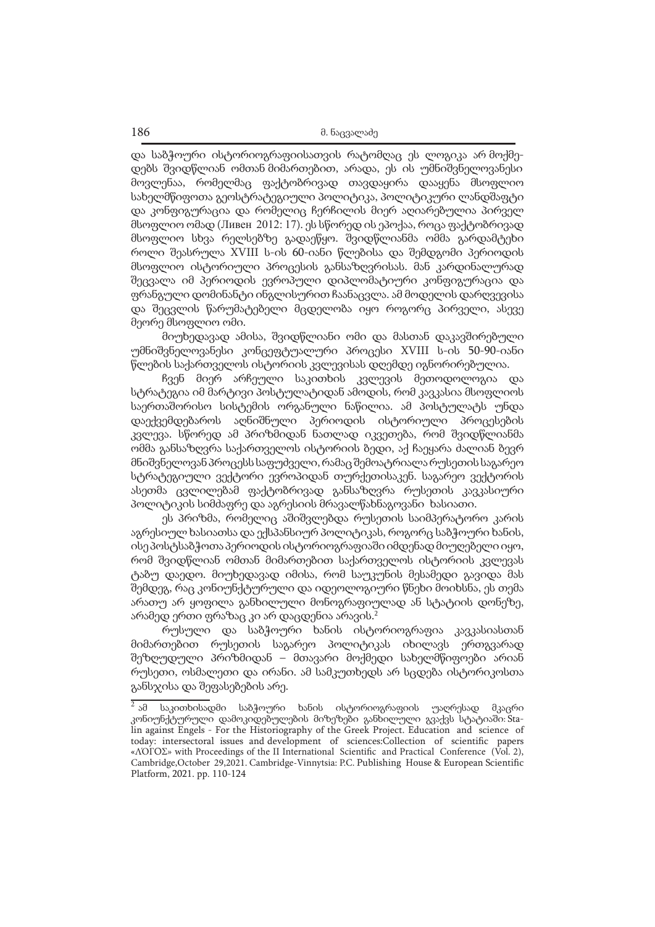და საბჭოური ისტორიოგრაფიისათვის რატომღაც ეს ლოგიკა არ მოქმედებს შვიდწლიან ომთან მიმართებით, არადა, ეს ის უმნიშვნელოვანესი მოვლენაა, რომელმაც ფაქტობრივად თავდაყირა დააყენა მსოფლიო სახელმწიფოთა გეოსტრატეგიული პოლიტიკა, პოლიტიკური ლანდშაფტი და კონფიგურაცია და რომელიც ჩერჩილის მიერ აღიარებულია პირველ მსოფლიო ომად (Ливен 2012: 17). ეს სწორედ ის ეპოქაა, როცა ფაქტობრივად მსოფლიო სხვა რელსებზე გადაეწყო. შვიდწლიანმა ომმა გარდამტეხი როლი შეასრულა XVIII ს-ის 60-იანი წლებისა და შემდგომი პერიოდის მსოფლიო ისტორიული პროცესის განსაზღვრისას. მან კარდინალურად შეცვალა იმ პერიოდის ევროპული დიპლომატიური კონფიგურაცია და ფრანგული დომინანტი ინგლისურით ჩაანაცვლა. ამ მოდელის დარღვევისა და შეცვლის წარუმატებელი მცდელობა იყო როგორც პირველი, ასევე მეორე მსოფლიო ომი.

მიუხედავად ამისა, შვიდწლიანი ომი და მასთან დაკავშირებული უმნიშვნელოვანესი კონცეფტუალური პროცესი XVIII ს-ის 50-90-იანი წლების საქართველოს ისტორიის კვლევისას დღემდე იგნორირებულია.

ჩვენ მიერ არჩეული საკითხის კვლევის მეთოდოლოგია და სტრატეგია იმ მარტივი პოსტულატიდან ამოდის, რომ კავკასია მსოფლიოს საერთაშორისო სისტემის ორგანული ნაწილია. ამ პოსტულატს უნდა დაექვემდებაროს აღნიშნული პერიოდის ისტორიული პროცესების კვლევა. სწორედ ამ პრიზმიდან ნათლად იკვეთება, რომ შვიდწლიანმა ომმა განსაზღვრა საქართველოს ისტორიის ბედი, აქ ჩაეყარა ძალიან ბევრ მნიშვნელოვან პროცესს საფუძველი, რამაც შემოატრიალა რუსეთის საგარეო სტრატეგიული ვექტორი ევროპიდან თურქეთისაკენ. საგარეო ვექტორის ასეთმა ცვლილებამ ფაქტობრივად განსაზღვრა რუსეთის კავკასიური პოლიტიკის სიმძაფრე და აგრესიის მრავალწახნაგოვანი ხასიათი.

ეს პრიზმა, რომელიც აშიშვლებდა რუსეთის საიმპერატორო კარის აგრესიულ ხასიათსა და ექსპანსიურ პოლიტიკას, როგორც საბჭოური ხანის, ისე პოსტსაბჭოთა პერიოდის ისტორიოგრაფიაში იმდენად მიუღებელი იყო, რომ შვიდწლიან ომთან მიმართებით საქართველოს ისტორიის კვლევას ტაბუ დაედო. მიუხედავად იმისა, რომ საუკუნის მესამედი გავიდა მას შემდეგ, რაც კონიუნქტურული და იდეოლოგიური წნეხი მოიხსნა, ეს თემა არათუ არ ყოფილა განხილული მონოგრაფიულად ან სტატიის დონეზე, არამედ ერთი ფრაზაც კი არ დაცდენია არავის.<sup>2</sup>

რუსული და საბჭოური ხანის ისტორიოგრაფია კავკასიასთან მიმართებით რუსეთის საგარეო პოლიტიკას იხილავს ერთგვარად შეზღუდული პრიზმიდან – მთავარი მოქმედი სახელმწიფოები არიან რუსეთი, ოსმალეთი და ირანი. ამ სამკუთხედს არ სცდება ისტორიკოსთა განსჯისა და შეფასებების არე.

 $\overline{^2}$ ამ საკითხისადმი საბჭოური ხანის ისტორიოგრაფიის უაღრესად მკაცრი კონიუნქტურული დამოკიდებულების მიზეზები განხილული გვაქვს სტატიაში: Stalin against Engels - For the Historiography of the Greek Project. Education and science of today: intersectoral issues and development of sciences:Collection of scientific papers «ΛΌГOΣ» with Proceedings of the II International Scientific and Practical Conference (Vol. 2), Cambridge,October 29,2021. Cambridge-Vinnytsia: P.C. Publishing House & European Scientific Platform, 2021. pp. 110-124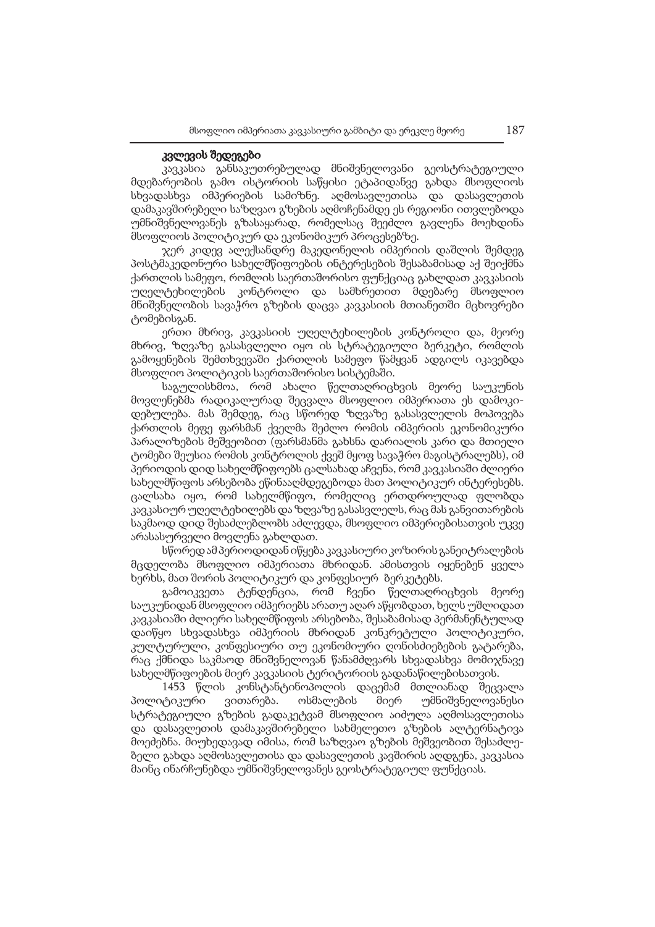### კვლევის შედეგები

კავკასია განსაკუთრებულად მნიშვნელოვანი გეოსტრატეგიული მდებარეობის გამო ისტორიის საწყისი ეტაპიდანვე გახდა მსოფლიოს სხვადასხვა იმპერიების სამიზნე. აღმოსავლეთისა და დასავლეთის დამაკავშირებელი საზღვაო გზების აღმოჩენამდე ეს რეგიონი ითვლებოდა უმნიშვნელოვანეს გზასაყარად, რომელსაც შეეძლო გავლენა მოეხდინა მსოფლიოს პოლიტიკურ და ეკონომიკურ პროცესებზე.

ჯერ კიდევ ალექსანდრე მაკედონელის იმპერიის დაშლის შემდეგ პოსტმაკედონური სახელმწიფოების ინტერესების შესაბამისად აქ შეიქმნა ქართლის სამეფო, რომლის საერთაშორისო ფუნქციაც გახლდათ კავკასიის უღელტეხილების კონტროლი და სამხრეთით მდებარე მსოფლიო მნიშვნელობის სავაჭრო გზების დაცვა კავკასიის მთიანეთში მცხოვრები ტომებისგან.

ერთი მხრივ, კავკასიის უღელტეხილების კონტროლი და, მეორე მხრივ, ზღვაზე გასასვლელი იყო ის სტრატეგიული ბერკეტი, რომლის გამოყენების შემთხვევაში ქართლის სამეფო წამყვან ადგილს იკავებდა მსოფლიო პოლიტიკის საერთაშორისო სისტემაში.

საგულისხმოა, რომ ახალი წელთაღრიცხვის მეორე საუკუნის მოვლენებმა რადიკალურად შეცვალა მსოფლიო იმპერიათა ეს დამოკიდებულება. მას შემდეგ, რაც სწორედ ზღვაზე გასასვლელის მოპოვება ქართლის მეფე ფარსმან ქველმა შეძლო რომის იმპერიის ეკონომიკური პარალიზების მეშვეობით (ფარსმანმა გახსნა დარიალის კარი და მთიელი ტომები შეუსია რომის კონტროლის ქვეშ მყოფ სავაჭრო მაგისტრალებს), იმ პერიოდის დიდ სახელმწიფოებს ცალსახად აჩვენა, რომ კავკასიაში ძლიერი სახელმწიფოს არსებობა ეწინააღმდეგებოდა მათ პოლიტიკურ ინტერესებს. ცალსახა იყო, რომ სახელმწიფო, რომელიც ერთდროულად ფლობდა კავკასიურ უღელტეხილებს და ზღვაზე გასასვლელს, რაც მას განვითარების საკმაოდ დიდ შესაძლებლობს აძლევდა, მსოფლიო იმპერიებისათვის უკვე არასასურველი მოვლენა გახლდათ.

სწორედ ამ პერიოდიდან იწყება კავკასიური კოზირის განეიტრალების მცდელობა მსოფლიო იმპერიათა მხრიდან. ამისთვის იყენებენ ყველა ხერხს, მათ შორის პოლიტიკურ და კონფესიურ ბერკეტებს.

გამოიკვეთა ტენდენცია, რომ ჩვენი წელთაღრიცხვის მეორე საუკუნიდან მსოფლიო იმპერიებს არათუ აღარ აწყობდათ, ხელს უშლიდათ კავკასიაში ძლიერი სახელმწიფოს არსებობა, შესაბამისად პერმანენტულად დაიწყო სხვადასხვა იმპერიის მხრიდან კონკრეტული პოლიტიკური, კულტურული, კონფესიური თუ ეკონომიური ღონისძიებების გატარება, რაც ქმნიდა საკმაოდ მნიშვნელოვან წანამძღვარს სხვადასხვა მომიჯნავე სახელმწიფოების მიერ კავკასიის ტერიტორიის გადანაწილებისათვის.

1453 წლის კონსტანტინოპოლის დაცემამ მთლიანად შეცვალა პოლიტიკური ვითარება. ოსმალების მიერ უმნიშვნელოვანესი სტრატეგიული გზების გადაკეტვამ მსოფლიო აიძულა აღმოსავლეთისა და დასავლეთის დამაკავშირებელი სახმელეთო გზების ალტერნატივა მოეძებნა. მიუხედავად იმისა, რომ საზღვაო გზების მეშვეობით შესაძლებელი გახდა აღმოსავლეთისა და დასავლეთის კავშირის აღდგენა, კავკასია მაინც ინარჩუნებდა უმნიშვნელოვანეს გეოსტრატეგიულ ფუნქციას.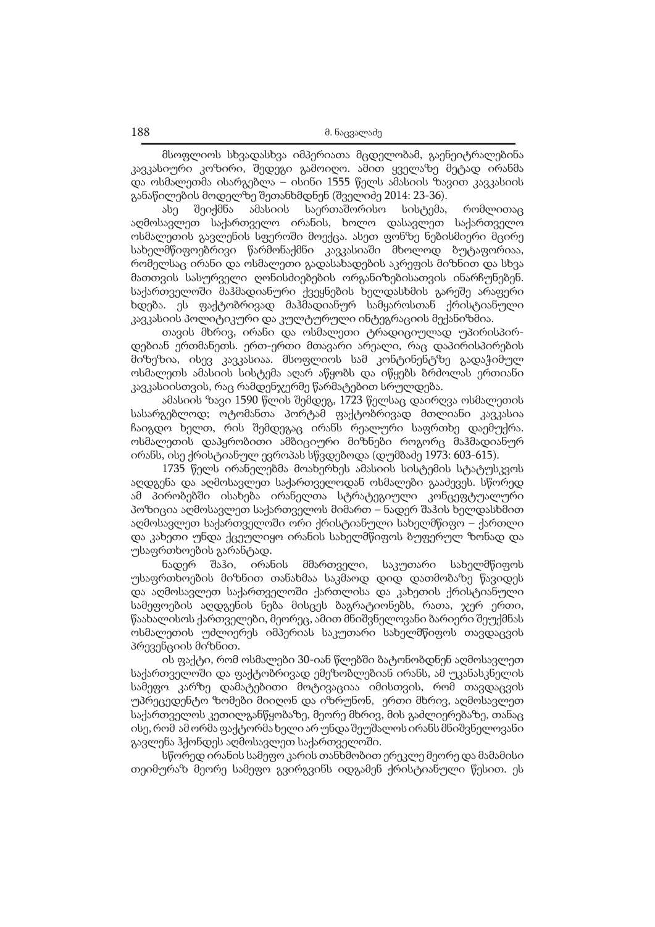მსოფლიოს სხვადასხვა იმპერიათა მცდელობამ, გაენეიტრალებინა კავკასიური კოზირი, შედეგი გამოიღო. ამით ყველაზე მეტად ირანმა და ოსმალეთმა ისარგებლა – ისინი 1555 წელს ამასიის ზავით კავკასიის განაწილების მოდელზე შეთანხმდნენ (შველიძე 2014: 23-36).

ასე შეიქმნა ამასიის საერთაშორისო სისტემა, რომლითაც აღმოსავლეთ საქართველო ირანის, ხოლო დასავლეთ საქართველო ოსმალეთის გავლენის სფეროში მოექცა. ასეთ ფონზე ნებისმიერი მცირე სახელმწიფოებრივი წარმონაქმნი კავკასიაში მხოლოდ ბუტაფორიაა, რომელსაც ირანი და ოსმალეთი გადასახადების აკრეფის მიზნით და სხვა მათთვის სასურველი ღონისძიებების ორგანიზებისათვის ინარჩუნებენ. საქართველოში მაჰმადიანური ქვეყნების ხელდასხმის გარეშე არაფერი ხდება. ეს ფაქტობრივად მაჰმადიანურ სამყაროსთან ქრისტიანული კავკასიის პოლიტიკური და კულტურული ინტეგრაციის მექანიზმია.

თავის მხრივ, ირანი და ოსმალეთი ტრადიციულად უპირისპირდებიან ერთმანეთს. ერთ-ერთი მთავარი არეალი, რაც დაპირისპირების მიზეზია, ისევ კავკასიაა. მსოფლიოს სამ კონტინენტზე გადაჭიმულ ოსმალეთს ამასიის სისტემა აღარ აწყობს და იწყებს ბრძოლას ერთიანი კავკასიისთვის, რაც რამდენჯერმე წარმატებით სრულდება.

ამასიის ზავი 1590 წლის შემდეგ, 1723 წელსაც დაირღვა ოსმალეთის სასარგებლოდ; ოტომანთა პორტამ ფაქტობრივად მთლიანი კავკასია ჩაიგდო ხელთ, რის შემდეგაც ირანს რეალური საფრთხე დაემუქრა. ოსმალეთის დაპყრობითი ამბიციური მიზნები როგორც მაჰმადიანურ ირანს, ისე ქრისტიანულ ევროპას სწვდებოდა (დუმბაძე 1973: 603-615).

1735 წელს ირანელებმა მოახერხეს ამასიის სისტემის სტატუსკვოს აღდგენა და აღმოსავლეთ საქართველოდან ოსმალები გააძევეს. სწორედ ამ პირობებში ისახება ირანელთა სტრატეგიული კონცეფტუალური პოზიცია აღმოსავლეთ საქართველოს მიმართ – ნადერ შაჰის ხელდასხმით აღმოსავლეთ საქართველოში ორი ქრისტიანული სახელმწიფო – ქართლი და კახეთი უნდა ქცეულიყო ირანის სახელმწიფოს ბუფერულ ზონად და უსაფრთხოების გარანტად.

ნადერ შაჰი, ირანის მმართველი, საკუთარი სახელმწიფოს უსაფრთხოების მიზნით თანახმაა საკმაოდ დიდ დათმობაზე წავიდეს და აღმოსავლეთ საქართველოში ქართლისა და კახეთის ქრისტიანული სამეფოების აღდგენის ნება მისცეს ბაგრატიონებს, რათა, ჯერ ერთი, წაახალისოს ქართველები, მეორეც, ამით მნიშვნელოვანი ბარიერი შეუქმნას ოსმალეთის უძლიერეს იმპერიას საკუთარი სახელმწიფოს თავდაცვის პრევენციის მიზნით.

ის ფაქტი, რომ ოსმალები 30-იან წლებში ბატონობდნენ აღმოსავლეთ საქართველოში და ფაქტობრივად ემეზობლებიან ირანს, ამ უკანასკნელის სამეფო კარზე დამატებითი მოტივაციაა იმისთვის, რომ თავდაცვის უპრეცედენტო ზომები მიიღონ და იზრუნონ, ერთი მხრივ, აღმოსავლეთ საქართველოს კეთილგანწყობაზე, მეორე მხრივ, მის გაძლიერებაზე, თანაც ისე, რომ ამ ორმა ფაქტორმა ხელი არ უნდა შეუშალოს ირანს მნიშვნელოვანი გავლენა ჰქონდეს აღმოსავლეთ საქართველოში.

სწორედ ირანის სამეფო კარის თანხმობით ერეკლე მეორე და მამამისი თეიმურაზ მეორე სამეფო გვირგვინს იდგამენ ქრისტიანული წესით. ეს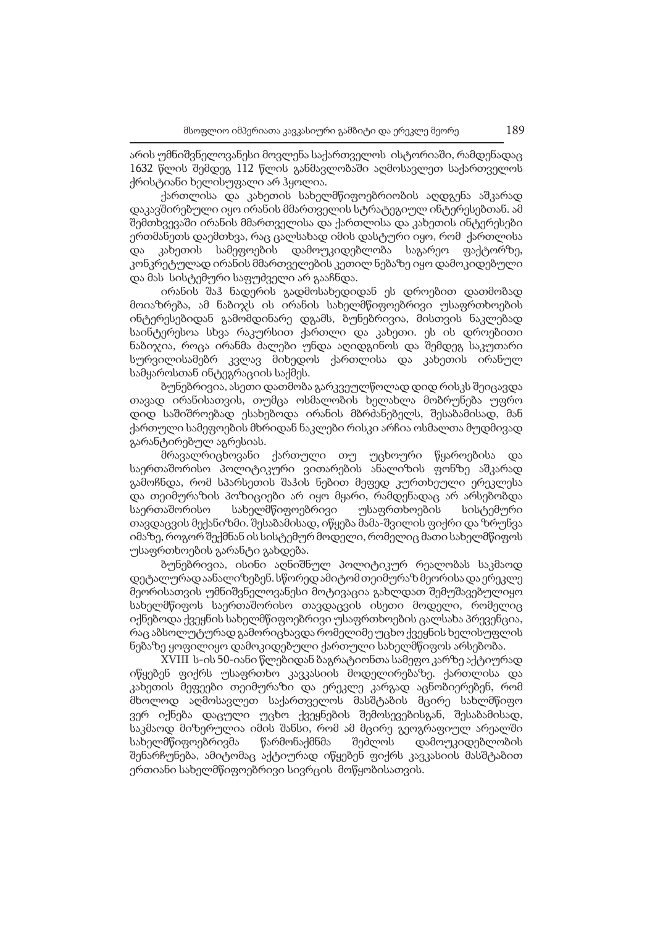არის უმნიშვნელოვანესი მოვლენა საქართველოს ისტორიაში, რამდენადაც 1632 წლის შემდეგ 112 წლის განმავლობაში აღმოსავლეთ საქართველოს ქრისტიანი ხელისუფალი არ ჰყოლია.

ქართლისა და კახეთის სახელმწიფოებრიობის აღდგენა აშკარად დაკავშირებული იყო ირანის მმართველის სტრატეგიულ ინტერესებთან. ამ შემთხვევაში ირანის მმართველისა და ქართლისა და კახეთის ინტერესები ერთმანეთს დაემთხვა, რაც ცალსახად იმის დასტური იყო, რომ ქართლისა და კახეთის სამეფოების დამოუკიდებლობა საგარეო ფაქტორზე, კონკრეტულად ირანის მმართველების კეთილ ნებაზე იყო დამოკიდებული და მას სისტემური საფუძველი არ გააჩნდა.

ირანის შაჰ ნადერის გადმოსახედიდან ეს დროებით დათმობად მოიაზრება, ამ ნაბიჯს ის ირანის სახელმწიფოებრივი უსაფრთხოების ინტერესებიდან გამომდინარე დგამს, ბუნებრივია, მისთვის ნაკლებად საინტერესოა სხვა რაკურსით ქართლი და კახეთი. ეს ის დროებითი ნაბიჯია, როცა ირანმა ძალები უნდა აღიდგინოს და შემდეგ საკუთარი სურვილისამებრ კვლავ მიხედოს ქართლისა და კახეთის ირანულ სამყაროსთან ინტეგრაციის საქმეს.

ბუნებრივია, ასეთი დათმობა გარკვეულწოლად დიდ რისკს შეიცავდა თავად ირანისათვის, თუმცა ოსმალობის ხელახლა მობრუნება უფრო დიდ საშიშროებად ესახებოდა ირანის მბრძანებელს, შესაბამისად, მან ქართული სამეფოების მხრიდან ნაკლები რისკი არჩია ოსმალთა მუდმივად გარანტირებულ აგრესიას.

მრავალრიცხოვანი ქართული თუ უცხოური წყაროებისა და საერთაშორისო პოლიტიკური ვითარების ანალიზის ფონზე აშკარად გამოჩნდა, რომ სპარსეთის შაჰის ნებით მეფედ კურთხეული ერეკლესა და თეიმურაზის პოზიციები არ იყო მყარი, რამდენადაც არ არსებობდა საერთაშორისო სახელმწიფოებრივი უსაფრთხოების სისტემური თავდაცვის მექანიზმი. შესაბამისად, იწყება მამა-შვილის ფიქრი და ზრუნვა იმაზე, როგორ შექმნან ის სისტემურ მოდელი, რომელიც მათი სახელმწიფოს უსაფრთხოების გარანტი გახდება.

ბუნებრივია, ისინი აღნიშნულ პოლიტიკურ რეალობას საკმაოდ დეტალურად აანალიზებენ. სწორედ ამიტომ თეიმურაზ მეორისა და ერეკლე მეორისათვის უმნიშვნელოვანესი მოტივაცია გახლდათ შემუშავებულიყო სახელმწიფოს საერთაშორისო თავდაცვის ისეთი მოდელი, რომელიც იქნებოდა ქვეყნის სახელმწიფოებრივი უსაფრთხოების ცალსახა პრევენცია, რაც აბსოლუტურად გამორიცხავდა რომელიმე უცხო ქვეყნის ხელისუფლის ნებაზე ყოფილიყო დამოკიდებული ქართული სახელმწიფოს არსებობა.

XVIII ს-ის 50-იანი წლებიდან ბაგრატიონთა სამეფო კარზე აქტიურად იწყებენ ფიქრს უსაფრთხო კავკასიის მოდელირებაზე. ქართლისა და კახეთის მეფეები თეიმურაზი და ერეკლე კარგად აცნობიერებენ, რომ მხოლოდ აღმოსავლეთ საქართველოს მასშტაბის მცირე სახლმწიფო ვერ იქნება დაცული უცხო ქვეყნების შემოსევებისგან, შესაბამისად, საკმაოდ მიზერულია იმის შანსი, რომ ამ მცირე გეოგრაფიულ არეალში სახელმწიფოებრივმა წარმონაქმნმა შეძლოს დამოუკიდებლობის შენარჩუნება, ამიტომაც აქტიურად იწყებენ ფიქრს კავკასიის მასშტაბით ერთიანი სახელმწიფოებრივი სივრცის მოწყობისათვის.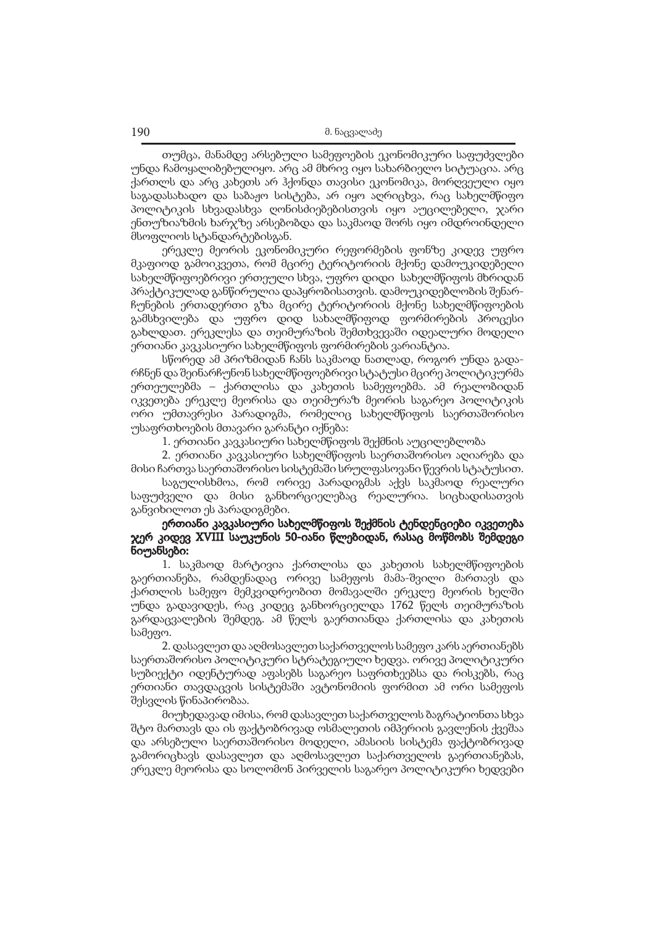თუმცა, მანამდე არსებული სამეფოების ეკონომიკური საფუძვლები უნდა ჩამოყალიბებულიყო. არც ამ მხრივ იყო სახარბიელო სიტუაცია. არც ქართლს და არც კახეთს არ ჰქონდა თავისი ეკონომიკა, მორღვეული იყო საგადასახადო და საბაჟო სისტება, არ იყო აღრიცხვა, რაც სახელმწიფო პოლიტიკის სხვადასხვა ღონისძიებებისთვის იყო აუცილებელი, ჯარი ენთუზიაზმის ხარჯზე არსებობდა და საკმაოდ შორს იყო იმდროინდელი მსოფლიოს სტანდარტებისგან.

ერეკლე მეორის ეკონომიკური რეფორმების ფონზე კიდევ უფრო მკაფიოდ გამოიკვეთა, რომ მცირე ტერიტორიის მქონე დამოუკიდებელი სახელმწიფოებრივი ერთეული სხვა, უფრო დიდი სახელმწიფოს მხრიდან პრაქტიკულად განწირულია დაპყრობისათვის. დამოუკიდებლობის შენარჩუნების ერთადერთი გზა მცირე ტერიტორიის მქონე სახელმწიფოების გამსხვილება და უფრო დიდ სახალმწიფოდ ფორმირების პროცესი გახლდათ. ერეკლესა და თეიმურაზის შემთხვევაში იდეალური მოდელი ერთიანი კავკასიური სახელმწიფოს ფორმირების ვარიანტია.

სწორედ ამ პრიზმიდან ჩანს საკმაოდ ნათლად, როგორ უნდა გადარჩნენ და შეინარჩუნონ სახელმწიფოებრივი სტატუსი მცირე პოლიტიკურმა ერთეულებმა – ქართლისა და კახეთის სამეფოებმა. ამ რეალობიდან იკვეთება ერეკლე მეორისა და თეიმურაზ მეორის საგარეო პოლიტიკის ორი უმთავრესი პარადიგმა, რომელიც სახელმწიფოს საერთაშორისო უსაფრთხოების მთავარი გარანტი იქნება:

1. ერთიანი კავკასიური სახელმწიფოს შექმნის აუცილებლობა

2. ერთიანი კავკასიური სახელმწიფოს საერთაშორისო აღიარება და მისი ჩართვა საერთაშორისო სისტემაში სრულფასოვანი წევრის სტატუსით.

საგულისხმოა, რომ ორივე პარადიგმას აქვს საკმაოდ რეალური საფუძველი და მისი განხორციელებაც რეალურია. სიცხადისათვის განვიხილოთ ეს პარადიგმები.

## ერთიანი კავკასიური სახელმწიფოს შექმნის ტენდენციები იკვეთება ჯერ კიდევ XVIII საუკუნის 50-იანი წლებიდან, რასაც მოწმობს შემდეგი ნიუანსები:

1. საკმაოდ მარტივია ქართლისა და კახეთის სახელმწიფოების გაერთიანება, რამდენადაც ორივე სამეფოს მამა-შვილი მართავს და ქართლის სამეფო მემკვიდრეობით მომავალში ერეკლე მეორის ხელში უნდა გადავიდეს, რაც კიდეც განხორციელდა 1762 წელს თეიმურაზის გარდაცვალების შემდეგ. ამ წელს გაერთიანდა ქართლისა და კახეთის სამეფო.

2. დასავლეთ და აღმოსავლეთ საქართველოს სამეფო კარს აერთიანებს საერთაშორისო პოლიტიკური სტრატეგიული ხედვა. ორივე პოლიტიკური სუბიექტი იდენტურად აფასებს საგარეო საფრთხეებსა და რისკებს, რაც ერთიანი თავდაცვის სისტემაში ავტონომიის ფორმით ამ ორი სამეფოს შესვლის წინაპირობაა.

მიუხედავად იმისა, რომ დასავლეთ საქართველოს ბაგრატიონთა სხვა შტო მართავს და ის ფაქტობრივად ოსმალეთის იმპერიის გავლენის ქვეშაა და არსებული საერთაშორისო მოდელი, ამასიის სისტემა ფაქტობრივად გამორიცხავს დასავლეთ და აღმოსავლეთ საქართველოს გაერთიანებას, ერეკლე მეორისა და სოლომონ პირველის საგარეო პოლიტიკური ხედვები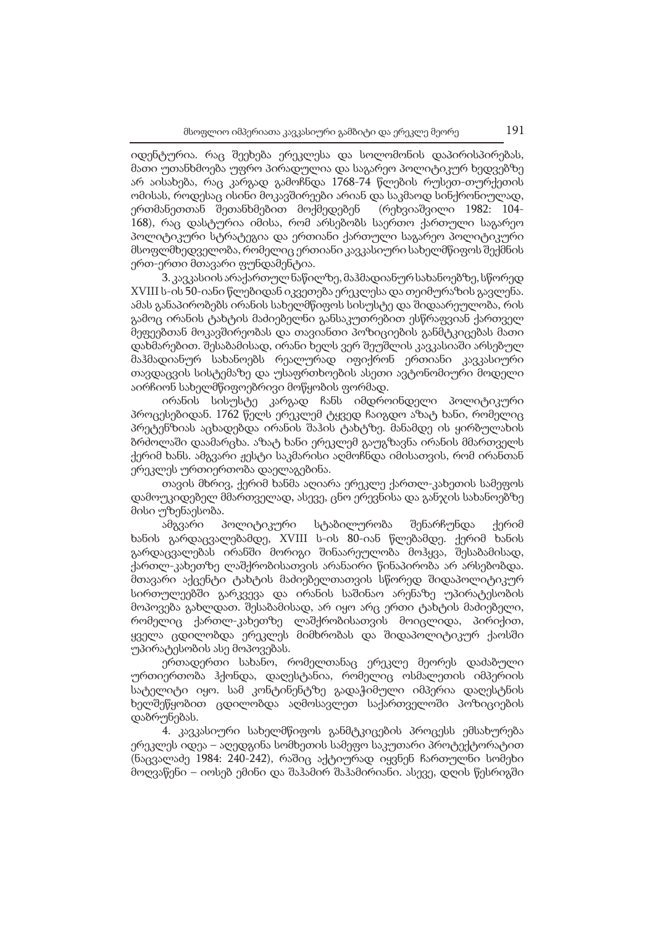იდენტურია. რაც შეეხება ერეკლესა და სოლომონის დაპირისპირებას, მათი უთანხმოება უფრო პირადულია და საგარეო პოლიტიკურ ხედვებზე არ აისახება, რაც კარგად გამოჩნდა 1768-74 წლების რუსეთ-თურქეთის ომისას, როდესაც ისინი მოკავშირეები არიან და საკმაოდ სინქრონიულად, ერთმანეთთან შეთანხმებით მოქმედებენ (რეხვიაშვილი 1982: 104- 168), რაც დასტურია იმისა, რომ არსებობს საერთო ქართული საგარეო პოლიტიკური სტრატეგია და ერთიანი ქართული საგარეო პოლიტიკური მსოფლმხედველობა, რომელიც ერთიანი კავკასიური სახელმწიფოს შექმნის ერთ-ერთი მთავარი ფუნდამენტია.

3. კავკასიის არაქართულ ნაწილზე, მაჰმადიანურ სახანოებზე, სწორედ XVIII ს-ის 50-იანი წლებიდან იკვეთება ერეკლესა და თეიმურაზის გავლენა. ამას განაპირობებს ირანის სახელმწიფოს სისუსტე და შიდაარეულობა, რის გამოც ირანის ტახტის მაძიებელნი განსაკუთრებით ესწრაფვიან ქართველ მეფეებთან მოკავშირეობას და თავიანთი პოზიციების განმტკიცებას მათი დახმარებით. შესაბამისად, ირანი ხელს ვერ შეუშლის კავკასიაში არსებულ მაჰმადიანურ სახანოებს რეალურად იფიქრონ ერთიანი კავკასიური თავდაცვის სისტემაზე და უსაფრთხოების ასეთი ავტონომიური მოდელი აირჩიონ სახელმწიფოებრივი მოწყობის ფორმად.

ირანის სისუსტე კარგად ჩანს იმდროინდელი პოლიტიკური პროცესებიდან. 1762 წელს ერეკლემ ტყვედ ჩაიგდო აზატ ხანი, რომელიც პრეტენზიას აცხადებდა ირანის შაჰის ტახტზე. მანამდე ის ყირბულახის ბრძოლაში დაამარცხა. აზატ ხანი ერეკლემ გაუგზავნა ირანის მმართველს ქერიმ ხანს. ამგვარი ჟესტი საკმარისი აღმოჩნდა იმისათვის, რომ ირანთან ერეკლეს ურთიერთობა დაელაგებინა.

თავის მხრივ, ქერიმ ხანმა აღიარა ერეკლე ქართლ-კახეთის სამეფოს დამოუკიდებელ მმართველად, ასევე, ცნო ერევნისა და განჯის სახანოებზე მისი უზენაესობა.

ამგვარი პოლიტიკური სტაბილურობა შენარჩუნდა ქერიმ ხანის გარდაცვალებამდე, XVIII ს-ის 80-იან წლებამდე. ქერიმ ხანის გარდაცვალებას ირანში მორიგი შინაარეულობა მოჰყვა, შესაბამისად, ქართლ-კახეთზე ლაშქრობისათვის არანაირი წინაპირობა არ არსებობდა. მთავარი აქცენტი ტახტის მაძიებელთათვის სწორედ შიდაპოლიტიკურ სირთულეებში გარკვევა და ირანის საშინაო არენაზე უპირატესობის მოპოვება გახლდათ. შესაბამისად, არ იყო არც ერთი ტახტის მაძიებელი, რომელიც ქართლ-კახეთზე ლაშქრობისათვის მოიცლიდა, პირიქით, ყველა ცდილობდა ერეკლეს მიმხრობას და შიდაპოლიტიკურ ქაოსში უპირატესობის ასე მოპოვებას.

ერთადერთი სახანო, რომელთანაც ერეკლე მეორეს დაძაბული ურთიერთობა ჰქონდა, დაღესტანია, რომელიც ოსმალეთის იმპერიის სატელიტი იყო. სამ კონტინენტზე გადაჭიმული იმპერია დაღესტნის ხელშეწყობით ცდილობდა აღმოსავლეთ საქართველოში პოზიციების დაბრუნებას.

4. კავკასიური სახელმწიფოს განმტკიცების პროცესს ემსახურება ერეკლეს იდეა – აღედგინა სომხეთის სამეფო საკუთარი პროტექტორატით (ნაცვალაძე 1984: 240-242), რაშიც აქტიურად იყვნენ ჩართულნი სომეხი მოღვაწენი – იოსებ ემინი და შაჰამირ შაჰამირიანი. ასევე, დღის წესრიგში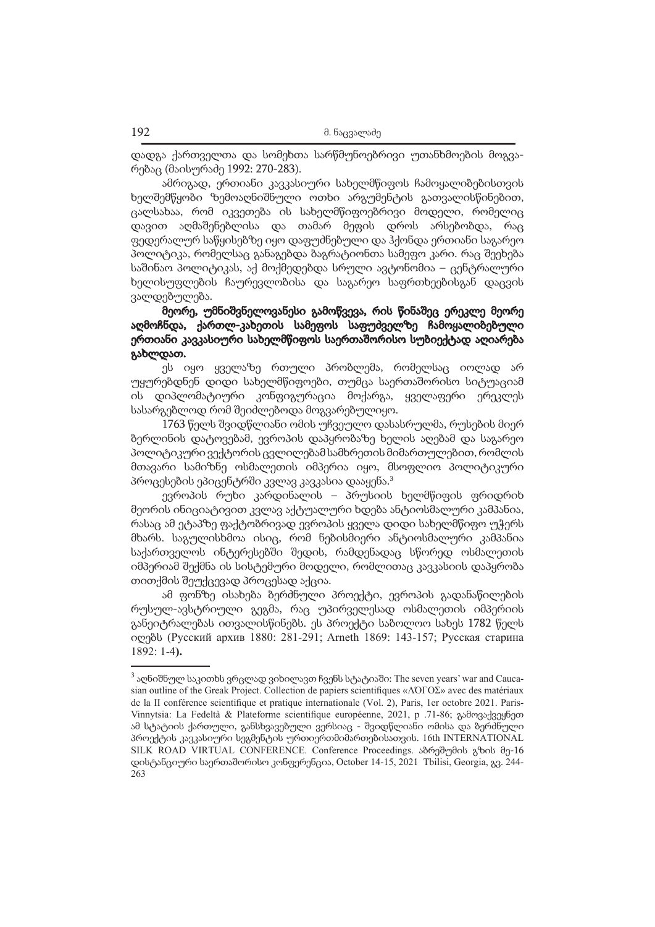დადგა ქართველთა და სომეხთა სარწმუნოებრივი უთანხმოების მოგვარებაც (მაისურაძე 1992: 270-283).

ამრიგად, ერთიანი კავკასიური სახელმწიფოს ჩამოყალიბებისთვის ხელშემწყობი ზემოაღნიშნული ოთხი არგუმენტის გათვალისწინებით, ცალსახაა, რომ იკვეთება ის სახელმწიფოებრივი მოდელი, რომელიც დავით აღმაშენებლისა და თამარ მეფის დროს არსებობდა, რაც ფედერალურ საწყისებზე იყო დაფუძნებული და ჰქონდა ერთიანი საგარეო პოლიტიკა, რომელსაც განაგებდა ბაგრატიონთა სამეფო კარი. რაც შეეხება საშინაო პოლიტიკას, აქ მოქმედებდა სრული ავტონომია – ცენტრალური ხელისუფლების ჩაურევლობისა და საგარეო საფრთხეებისგან დაცვის ვალდებულება.

მეორე, უმნიშვნელოვანესი გამოწვევა, რის წინაშეც ერეკლე მეორე აღმოჩნდა, ქართლ-კახეთის სამეფოს საფუძველზე ჩამოყალიბებული ერთიანი კავკასიური სახელმწიფოს საერთაშორისო სუბიექტად აღიარება გახლდათ.

ეს იყო ყველაზე რთული პრობლემა, რომელსაც იოლად არ უყურებდნენ დიდი სახელმწიფოები, თუმცა საერთაშორისო სიტუაციამ ის დიპლომატიური კონფიგურაცია მოქარგა, ყველაფერი ერეკლეს სასარგებლოდ რომ შეიძლებოდა მოგვარებულიყო.

1763 წელს შვიდწლიანი ომის უჩვეულო დასასრულმა, რუსების მიერ ბერლინის დატოვებამ, ევროპის დაპყრობაზე ხელის აღებამ და საგარეო პოლიტიკური ვექტორის ცვლილებამ სამხრეთის მიმართულებით, რომლის მთავარი სამიზნე ოსმალეთის იმპერია იყო, მსოფლიო პოლიტიკური პროცესების ეპიცენტრში კვლავ კავკასია დააყენა.3

ევროპის რუხი კარდინალის – პრუსიის ხელმწიფის ფრიდრიხ მეორის ინიციატივით კვლავ აქტუალური ხდება ანტიოსმალური კამპანია, რასაც ამ ეტაპზე ფაქტობრივად ევროპის ყველა დიდი სახელმწიფო უჭერს მხარს. საგულისხმოა ისიც, რომ ნებისმიერი ანტიოსმალური კამპანია საქართველოს ინტერესებში შედის, რამდენადაც სწორედ ოსმალეთის იმპერიამ შექმნა ის სისტემური მოდელი, რომლითაც კავკასიის დაპყრობა თითქმის შეუქცევად პროცესად აქცია.

ამ ფონზე ისახება ბერძნული პროექტი, ევროპის გადანაწილების რუსულ-ავსტრიული გეგმა, რაც უპირველესად ოსმალეთის იმპერიის განეიტრალებას ითვალისწინებს. ეს პროექტი საბოლოო სახეს 1782 წელს იღებს (Русский архив 1880: 281-291; Arneth 1869: 143-157; Русская старина 1892: 1-4**).**

 $^3$  აღნიშნულ საკითხს ვრცლად ვიხილავთ ჩვენს სტატიაში: The seven years' war and Caucasian outline of the Greak Project. Collection de papiers scientifiques «ΛΌГOΣ» avec des matériaux de la II conférence scientifique et pratique internationale (Vol. 2), Paris, 1er octobre 2021. Paris-Vinnytsia: La Fedeltà & Plateforme scientifique européenne, 2021, p .71-86; გამოვაქვეყნეთ ამ სტატიის ქართული, განსხვავებული ვერსიაც - შვიდწლიანი ომისა და ბერძნული პროექტის კავკასიური სეგმენტის ურთიერთმიმართებისათვის. 16th INTERNATIONAL SILK ROAD VIRTUAL CONFERENCE. Conference Proceedings. აბრეშუმის გზის მე-16 დისტანციური საერთაშორისო კონფერენცია, October 14-15, 2021 Tbilisi, Georgia, გვ. 244- 263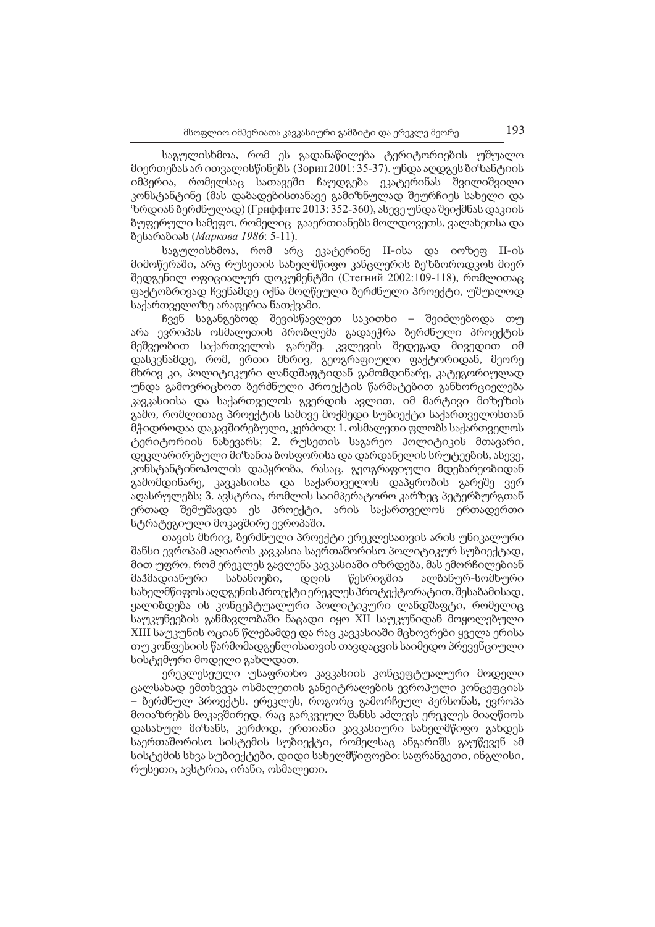საგულისხმოა, რომ ეს გადანაწილება ტერიტორიების უშუალო მიერთებას არ ითვალისწინებს (Зорин 2001: 35-37). უნდა აღდგეს ბიზანტიის იმპერია, რომელსაც სათავეში ჩაუდგება ეკატერინას შვილიშვილი კონსტანტინე (მას დაბადებისთანავე გამიზნულად შეურჩიეს სახელი და ზრდიან ბერძნულად) (Гриффитс 2013: 352-360), ასევე უნდა შეიქმნას დაკიის ბუფერული სამეფო, რომელიც გააერთიანებს მოლდოვეთს, ვალახეთსა და ბესარაბიას (*Маркова 1986*: 5-11).

საგულისხმოა, რომ არც ეკატერინე II-ისა და იოზეფ II-ის მიმოწერაში, არც რუსეთის სახელმწიფო კანცლერის ბეზბოროდკოს მიერ შედგენილ ოფიციალურ დოკუმენტში (Стегний 2002:109-118), რომლითაც ფაქტობრივად ჩვენამდე იქნა მოღწეული ბერძნული პროექტი, უშუალოდ საქართველოზე არაფერია ნათქვამი.

ჩვენ საგანგებოდ შევისწავლეთ საკითხი – შეიძლებოდა თუ არა ევროპას ოსმალეთის პრობლემა გადაეჭრა ბერძნული პროექტის მეშვეობით საქართველოს გარეშე. კვლევის შედეგად მივედით იმ დასკვნამდე, რომ, ერთი მხრივ, გეოგრაფიული ფაქტორიდან, მეორე მხრივ კი, პოლიტიკური ლანდშაფტიდან გამომდინარე, კატეგორიულად უნდა გამოვრიცხოთ ბერძნული პროექტის წარმატებით განხორციელება კავკასიისა და საქართველოს გვერდის ავლით, იმ მარტივი მიზეზის გამო, რომლითაც პროექტის სამივე მოქმედი სუბიექტი საქართველოსთან მჭიდროდაა დაკავშირებული, კერძოდ: 1. ოსმალეთი ფლობს საქართველოს ტერიტორიის ნახევარს; 2. რუსეთის საგარეო პოლიტიკის მთავარი, დეკლარირებული მიზანია ბოსფორისა და დარდანელის სრუტეების, ასევე, კონსტანტინოპოლის დაპყრობა, რასაც, გეოგრაფიული მდებარეობიდან გამომდინარე, კავკასიისა და საქართველოს დაპყრობის გარეშე ვერ აღასრულებს; 3. ავსტრია, რომლის საიმპერატორო კარზეც პეტერბურგთან ერთად შემუშავდა ეს პროექტი, არის საქართველოს ერთადერთი სტრატეგიული მოკავშირე ევროპაში.

თავის მხრივ, ბერძნული პროექტი ერეკლესათვის არის უნიკალური შანსი ევროპამ აღიაროს კავკასია საერთაშორისო პოლიტიკურ სუბიექტად, მით უფრო, რომ ერეკლეს გავლენა კავკასიაში იზრდება, მას ემორჩილებიან მაჰმადიანური სახანოები, დღის წესრიგშია ალბანურ-სომხური სახელმწიფოს აღდგენის პროექტი ერეკლეს პროტექტორატით, შესაბამისად, ყალიბდება ის კონცეპტუალური პოლიტიკური ლანდშაფტი, რომელიც საუკუნეების განმავლობაში ნაცადი იყო XII საუკუნიდან მოყოლებული XIII საუკუნის ოციან წლებამდე და რაც კავკასიაში მცხოვრები ყველა ერისა თუ კონფესიის წარმომადგენლისათვის თავდაცვის საიმედო პრევენციული სისტემური მოდელი გახლდათ.

ერეკლესეული უსაფრთხო კავკასიის კონცეფტუალური მოდელი ცალსახად ემთხვევა ოსმალეთის განეიტრალების ევროპული კონცეფციას – ბერძნულ პროექტს. ერეკლეს, როგორც გამორჩეულ პერსონას, ევროპა მოიაზრებს მოკავშირედ, რაც გარკვეულ შანსს აძლევს ერეკლეს მიაღწიოს დასახულ მიზანს, კერძოდ, ერთიანი კავკასიური სახელმწიფო გახდეს საერთაშორისო სისტემის სუბიექტი, რომელსაც ანგარიშს გაუწევენ ამ სისტემის სხვა სუბიექტები, დიდი სახელმწიფოები: საფრანგეთი, ინგლისი, რუსეთი, ავსტრია, ირანი, ოსმალეთი.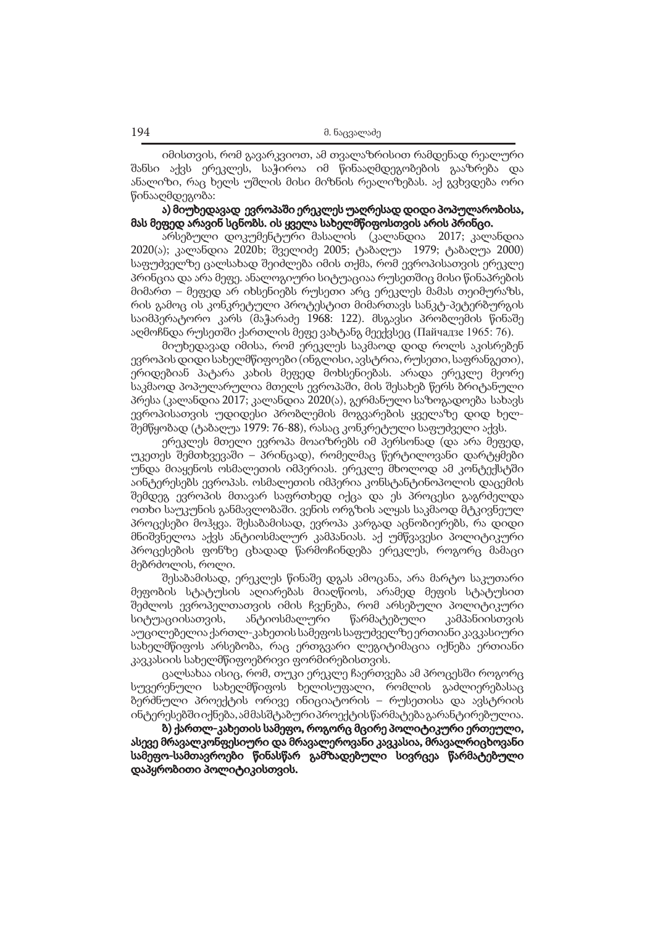იმისთვის, რომ გავარკვიოთ, ამ თვალაზრისით რამდენად რეალური შანსი აქვს ერეკლეს, საჭიროა იმ წინააღმდეგობების გააზრება და ანალიზი, რაც ხელს უშლის მისი მიზნის რეალიზებას. აქ გვხვდება ორი წინააღმდეგობა:

# ა) მიუხედავად ევროპაში ერეკლეს უაღრესად დიდი პოპულარობისა, მას მეფედ არავინ სცნობს. ის ყველა სახელმწიფოსთვის არის პრინცი.

არსებული დოკუმენტური მასალის (კალანდია 2017; კალანდია 2020(ა); კალანდია 2020b; შველიძე 2005; ტაბაღუა 1979; ტაბაღუა 2000) საფუძველზე ცალსახად შეიძლება იმის თქმა, რომ ევროპისათვის ერეკლე პრინცია და არა მეფე. ანალოგიური სიტუაციაა რუსეთშიც მისი წინაპრების მიმართ – მეფედ არ იხსენიებს რუსეთი არც ერეკლეს მამას თეიმურაზს, რის გამოც ის კონკრეტული პროტესტით მიმართავს სანკტ-პეტერბურგის საიმპერატორო კარს (მაჭარაძე 1968: 122). მსგავსი პრობლემის წინაშე აღმოჩნდა რუსეთში ქართლის მეფე ვახტანგ მეექვსეც (Пайчадзе 1965: 76).

მიუხედავად იმისა, რომ ერეკლეს საკმაოდ დიდ როლს აკისრებენ ევროპის დიდი სახელმწიფოები (ინგლისი, ავსტრია, რუსეთი, საფრანგეთი), ერიდებიან პატარა კახის მეფედ მოხსენიებას. არადა ერეკლე მეორე საკმაოდ პოპულარულია მთელს ევროპაში, მის შესახებ წერს ბრიტანული პრესა (კალანდია 2017; კალანდია 2020(ა), გერმანული საზოგადოება სახავს ევროპისათვის უდიდესი პრობლემის მოგვარების ყველაზე დიდ ხელშემწყობად (ტაბაღუა 1979: 76-88), რასაც კონკრეტული საფუძველი აქვს.

ერეკლეს მთელი ევროპა მოაიზრებს იმ პერსონად (და არა მეფედ, უკეთეს შემთხვევაში – პრინცად), რომელმაც წერტილოვანი დარტყმები უნდა მიაყენოს ოსმალეთის იმპერიას. ერეკლე მხოლოდ ამ კონტექსტში აინტერესებს ევროპას. ოსმალეთის იმპერია კონსტანტინოპოლის დაცემის შემდეგ ევროპის მთავარ საფრთხედ იქცა და ეს პროცესი გაგრძელდა ოთხი საუკუნის განმავლობაში. ვენის ორგზის ალყას საკმაოდ მტკივნეულ პროცესები მოჰყვა. შესაბამისად, ევროპა კარგად აცნობიერებს, რა დიდი მნიშვნელოა აქვს ანტიოსმალურ კამპანიას. აქ უმწვავესი პოლიტიკური პროცესების ფონზე ცხადად წარმოჩინდება ერეკლეს, როგორც მამაცი მებრძოლის, როლი.

შესაბამისად, ერეკლეს წინაშე დგას ამოცანა, არა მარტო საკუთარი მეფობის სტატუსის აღიარებას მიაღწიოს, არამედ მეფის სტატუსით შეძლოს ევროპელთათვის იმის ჩვენება, რომ არსებული პოლიტიკური სიტუაციისათვის, ანტიოსმალური წარმატებული კამპანიისთვის აუცილებელია ქართლ-კახეთის სამეფოს საფუძველზე ერთიანი კავკასიური სახელმწიფოს არსებობა, რაც ერთგვარი ლეგიტიმაცია იქნება ერთიანი კავკასიის სახელმწიფოებრივი ფორმირებისთვის.

ცალსახაა ისიც, რომ, თუკი ერეკლე ჩაერთვება ამ პროცესში როგორც სუვერენული სახელმწიფოს ხელისუფალი, რომლის გაძლიერებასაც ბერძნული პროექტის ორივე ინიციატორის – რუსეთისა და ავსტრიის ინტერესებში იქნება, ამ მასშტაბური პროექტის წარმატება გარანტირებულია.

ბ) ქართლ-კახეთის სამეფო, როგორც მცირე პოლიტიკური ერთეული, ასევე მრავალკონფესიური და მრავალეროვანი კავკასია, მრავალრიცხოვანი სამეფო-სამთავროები წინასწარ გამზადებული სივრცეა წარმატებული დაპყრობითი პოლიტიკისთვის.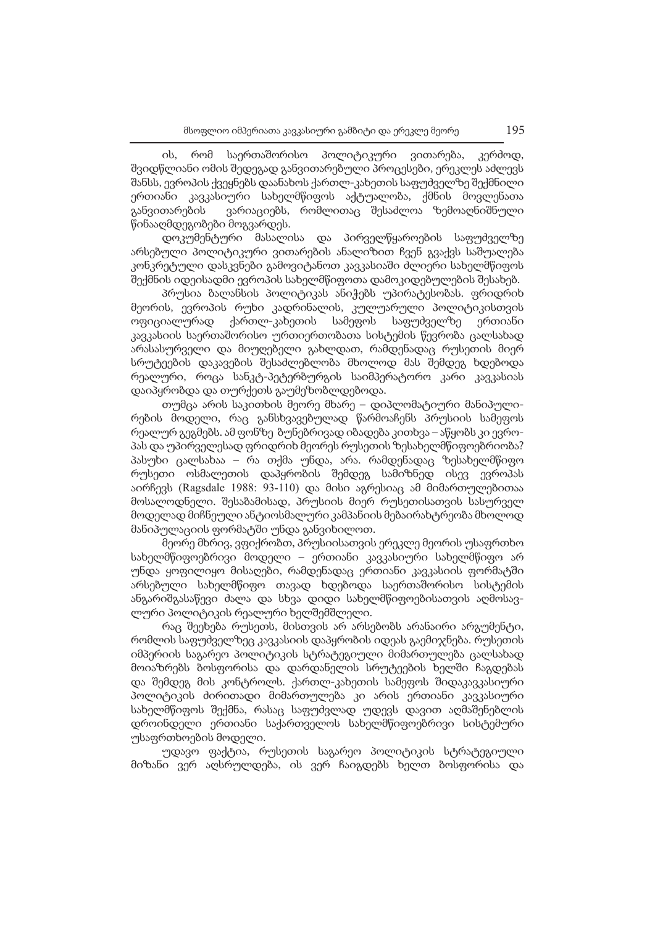ის, რომ საერთაშორისო პოლიტიკური ვითარება, კერძოდ, შვიდწლიანი ომის შედეგად განვითარებული პროცესები, ერეკლეს აძლევს შანსს, ევროპის ქვეყნებს დაანახოს ქართლ-კახეთის საფუძველზე შექმნილი ერთიანი კავკასიური სახელმწიფოს აქტუალობა, ქმნის მოვლენათა განვითარების ვარიაციებს, რომლითაც შესაძლოა ზემოაღნიშნული წინააღმდეგობები მოგვარდეს.

დოკუმენტური მასალისა და პირველწყაროების საფუძველზე არსებული პოლიტიკური ვითარების ანალიზით ჩვენ გვაქვს საშუალება კონკრეტული დასკვნები გამოვიტანოთ კავკასიაში ძლიერი სახელმწიფოს შექმნის იდეისადმი ევროპის სახელმწიფოთა დამოკიდებულების შესახებ.

პრუსია ბალანსის პოლიტიკას ანიჭებს უპირატესობას. ფრიდრიხ მეორის, ევროპის რუხი კადრინალის, კულუარული პოლიტიკისთვის ოფიციალურად ქართლ-კახეთის სამეფოს საფუძველზე ერთიანი კავკასიის საერთაშორისო ურთიერთობათა სისტემის წევრობა ცალსახად არასასურველი და მიუღებელი გახლდათ, რამდენადაც რუსეთის მიერ სრუტეების დაკავების შესაძლებლობა მხოლოდ მას შემდეგ ხდებოდა რეალური, როცა სანკტ-პეტერბურგის საიმპერატორო კარი კავკასიას დაიპყრობდა და თურქეთს გაუმეზობლდებოდა.

თუმცა არის საკითხის მეორე მხარე – დიპლომატიური მანიპულირების მოდელი, რაც განსხვავებულად წარმოაჩენს პრუსიის სამეფოს რეალურ გეგმებს. ამ ფონზე ბუნებრივად იბადება კითხვა – აწყობს კი ევროპას და უპირველესად ფრიდრიხ მეორეს რუსეთის ზესახელმწიფოებრიობა? პასუხი ცალსახაა – რა თქმა უნდა, არა. რამდენადაც ზესახელმწიფო რუსეთი ოსმალეთის დაპყრობის შემდეგ სამიზნედ ისევ ევროპას აირჩევს (Ragsdale 1988: 93-110) და მისი აგრესიაც ამ მიმართულებითაა მოსალოდნელი. შესაბამისად, პრუსიის მიერ რუსეთისათვის სასურველ მოდელად მიჩნეული ანტიოსმალური კამპანიის მებაირახტრეობა მხოლოდ მანიპულაციის ფორმატში უნდა განვიხილოთ.

მეორე მხრივ, ვფიქრობთ, პრუსიისათვის ერეკლე მეორის უსაფრთხო სახელმწიფოებრივი მოდელი – ერთიანი კავკასიური სახელმწიფო არ უნდა ყოფილიყო მისაღები, რამდენადაც ერთიანი კავკასიის ფორმატში არსებული სახელმწიფო თავად ხდებოდა საერთაშორისო სისტემის ანგარიშგასაწევი ძალა და სხვა დიდი სახელმწიფოებისათვის აღმოსავლური პოლიტიკის რეალური ხელშემშლელი.

რაც შეეხება რუსეთს, მისთვის არ არსებობს არანაირი არგუმენტი, რომლის საფუძველზეც კავკასიის დაპყრობის იდეას გაემიჯნება. რუსეთის იმპერიის საგარეო პოლიტიკის სტრატეგიული მიმართულება ცალსახად მოიაზრებს ბოსფორისა და დარდანელის სრუტეების ხელში ჩაგდებას და შემდეგ მის კონტროლს. ქართლ-კახეთის სამეფოს შიდაკავკასიური პოლიტიკის ძირითადი მიმართულება კი არის ერთიანი კავკასიური სახელმწიფოს შექმნა, რასაც საფუძვლად უდევს დავით აღმაშენებლის დროინდელი ერთიანი საქართველოს სახელმწიფოებრივი სისტემური უსაფრთხოების მოდელი.

უდავო ფაქტია, რუსეთის საგარეო პოლიტიკის სტრატეგიული მიზანი ვერ აღსრულდება, ის ვერ ჩაიგდებს ხელთ ბოსფორისა და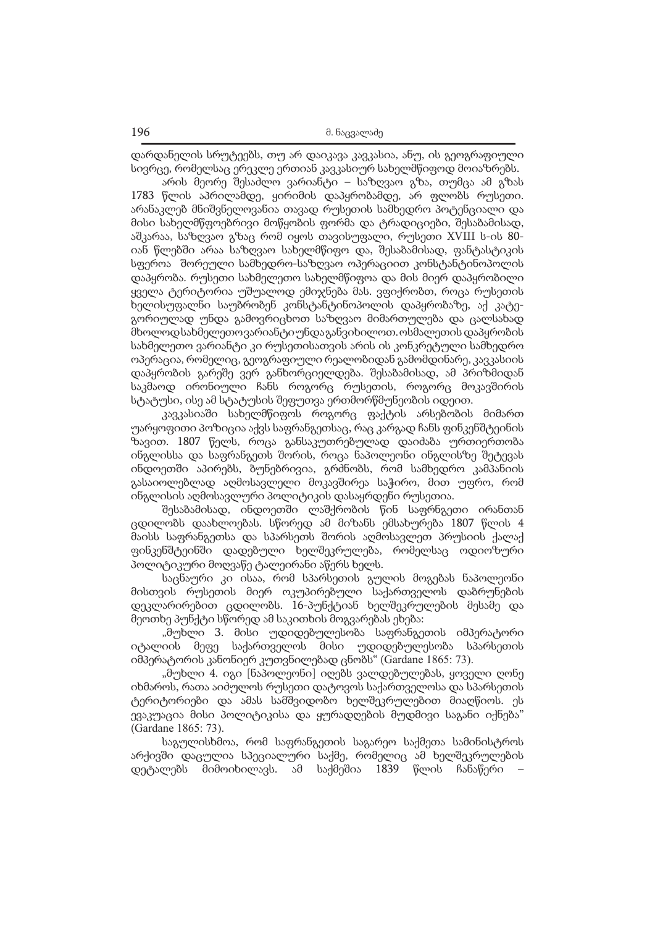დარდანელის სრუტეებს, თუ არ დაიკავა კავკასია, ანუ, ის გეოგრაფიული სივრცე, რომელსაც ერეკლე ერთიან კავკასიურ სახელმწიფოდ მოიაზრებს.

არის მეორე შესაძლო ვარიანტი – საზღვაო გზა, თუმცა ამ გზას 1783 წლის აპრილამდე, ყირიმის დაპყრობამდე, არ ფლობს რუსეთი. არანაკლებ მნიშვნელოვანია თავად რუსეთის სამხედრო პოტენციალი და მისი სახელმწფოებრივი მოწყობის ფორმა და ტრადიციები, შესაბამისად, აშკარაა, საზღვაო გზაც რომ იყოს თავისუფალი, რუსეთი XVIII ს-ის 80 იან წლებში არაა საზღვაო სახელმწიფო და, შესაბამისად, ფანტასტიკის სფეროა შორეული სამხედრო-საზღვაო ოპერაციით კონსტანტინოპოლის დაპყრობა. რუსეთი სახმელეთო სახელმწიფოა და მის მიერ დაპყრობილი ყველა ტერიტორია უშუალოდ ემიჯნება მას. ვფიქრობთ, როცა რუსეთის ხელისუფალნი საუბრობენ კონსტანტინოპოლის დაპყრობაზე, აქ კატეგორიულად უნდა გამოვრიცხოთ საზღვაო მიმართულება და ცალსახად მხოლოდ სახმელეთო ვარიანტი უნდა განვიხილოთ. ოსმალეთის დაპყრობის სახმელეთო ვარიანტი კი რუსეთისათვის არის ის კონკრეტული სამხედრო ოპერაცია, რომელიც, გეოგრაფიული რეალობიდან გამომდინარე, კავკასიის დაპყრობის გარეშე ვერ განხორციელდება. შესაბამისად, ამ პრიზმიდან საკმაოდ ირონიული ჩანს როგორც რუსეთის, როგორც მოკავშირის სტატუსი, ისე ამ სტატუსის შეფუთვა ერთმორწმუნეობის იდეით.

კავკასიაში სახელმწიფოს როგორც ფაქტის არსებობის მიმართ უარყოფითი პოზიცია აქვს საფრანგეთსაც, რაც კარგად ჩანს ფინკენშტეინის ზავით. 1807 წელს, როცა განსაკუთრებულად დაიძაბა ურთიერთობა ინგლისსა და საფრანგეთს შორის, როცა ნაპოლეონი ინგლისზე შეტევას ინდოეთში აპირებს, ბუნებრივია, გრძნობს, რომ სამხედრო კამპანიის გასაიოლებლად აღმოსავლელი მოკავშირეა საჭირო, მით უფრო, რომ ინგლისის აღმოსავლური პოლიტიკის დასაყრდენი რუსეთია.

შესაბამისად, ინდოეთში ლაშქრობის წინ საფრნგეთი ირანთან ცდილობს დაახლოებას. სწორედ ამ მიზანს ემსახურება 1807 წლის 4 მაისს საფრანგეთსა და სპარსეთს შორის აღმოსავლეთ პრუსიის ქალაქ ფინკენშტეინში დადებული ხელშეკრულება, რომელსაც ოდიოზური პოლიტიკური მოღვაწე ტალეირანი აწერს ხელს.

საცნაური კი ისაა, რომ სპარსეთის გულის მოგებას ნაპოლეონი მისთვის რუსეთის მიერ ოკუპირებული საქართველოს დაბრუნების დეკლარირებით ცდილობს. 16-პუნქტიან ხელშეკრულების მესამე და მეოთხე პუნქტი სწორედ ამ საკითხის მოგვარებას ეხება:

"მუხლი 3. მისი უდიდებულესობა საფრანგეთის იმპერატორი იტალიის მეფე საქართველოს მისი უდიდებულესობა სპარსეთის იმპერატორის კანონიერ კუთვნილებად ცნობს" (Gardane 1865: 73).

"მუხლი 4. იგი [ნაპოლეონი] იღებს ვალდებულებას, ყოველი ღონე იხმაროს, რათა აიძულოს რუსეთი დატოვოს საქართველოსა და სპარსეთის ტერიტორიები და ამას სამშვიდობო ხელშეკრულებით მიაღწიოს. ეს ევაკუაცია მისი პოლიტიკისა და ყურადღების მუდმივი საგანი იქნება" (Gardane 1865: 73).

საგულისხმოა, რომ საფრანგეთის საგარეო საქმეთა სამინისტროს არქივში დაცულია სპეციალური საქმე, რომელიც ამ ხელშეკრულების დეტალებს მიმოიხილავს. ამ საქმეშია 1839 წლის ჩანაწერი –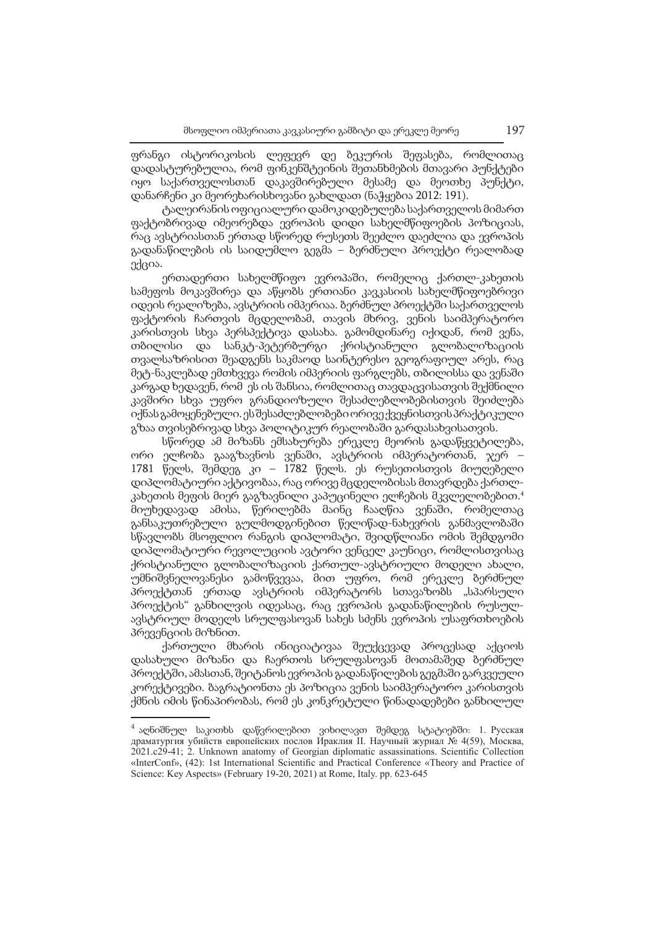ფრანგი ისტორიკოსის ლეფევრ დე ბეკურის შეფასება, რომლითაც დადასტურებულია, რომ ფინკენშტეინის შეთანხმების მთავარი პუნქტები იყო საქართველოსთან დაკავშირებული მესამე და მეოთხე პუნქტი, დანარჩენი კი მეორეხარისხოვანი გახლდათ (ნაჭყებია 2012: 191).

ტალეირანის ოფიციალური დამოკიდებულება საქართველოს მიმართ ფაქტობრივად იმეორებდა ევროპის დიდი სახელმწიფოების პოზიციას, რაც ავსტრიასთან ერთად სწორედ რუსეთს შეეძლო დაეძლია და ევროპის გადანაწილების ის საიდუმლო გეგმა – ბერძნული პროექტი რეალობად ექცია.

ერთადერთი სახელმწიფო ევროპაში, რომელიც ქართლ-კახეთის სამეფოს მოკავშირეა და აწყობს ერთიანი კავკასიის სახელმწიფოებრივი იდეის რეალიზება, ავსტრიის იმპერიაა. ბერძნულ პროექტში საქართველოს ფაქტორის ჩართვის მცდელობამ, თავის მხრივ, ვენის საიმპერატორო კარისთვის სხვა პერსპექტივა დასახა. გამომდინარე იქიდან, რომ ვენა, თბილისი და სანკტ-პეტერბურგი ქრისტიანული გლობალიზაციის თვალსაზრისით შეადგენს საკმაოდ საინტერესო გეოგრაფიულ არეს, რაც მეტ-ნაკლებად ემთხვევა რომის იმპერიის ფარგლებს, თბილისსა და ვენაში კარგად ხედავენ, რომ ეს ის შანსია, რომლითაც თავდაცვისათვის შექმნილი კავშირი სხვა უფრო გრანდიოზული შესაძლებლობებისთვის შეიძლება იქნას გამოყენებული. ეს შესაძლებლობები ორივე ქვეყნისთვის პრაქტიკული გზაა თვისებრივად სხვა პოლიტიკურ რეალობაში გარდასახვისათვის.

სწორედ ამ მიზანს ემსახურება ერეკლე მეორის გადაწყვეტილება, ორი ელჩობა გააგზავნოს ვენაში, ავსტრიის იმპერატორთან, ჯერ – 1781 წელს, შემდეგ კი – 1782 წელს. ეს რუსეთისთვის მიუღებელი დიპლომატიური აქტივობაა, რაც ორივე მცდელობისას მთავრდება ქართლკახეთის მეფის მიერ გაგზავნილი კაპუცინელი ელჩების მკვლელობებით. $^4$ მიუხედავად ამისა, წერილებმა მაინც ჩააღწია ვენაში, რომელთაც განსაკუთრებული გულმოდგინებით წელიწად-ნახევრის განმავლობაში სწავლობს მსოფლიო რანგის დიპლომატი, შვიდწლიანი ომის შემდგომი დიპლომატიური რევოლუციის ავტორი ვენცელ კაუნიცი, რომლისთვისაც ქრისტიანული გლობალიზაციის ქართულ-ავსტრიული მოდელი ახალი, უმნიშვნელოვანესი გამოწვევაა, მით უფრო, რომ ერეკლე ბერძნულ პროექტთან ერთად ავსტრიის იმპერატორს სთავაზობს "სპარსული პროექტის" განხილვის იდეასაც, რაც ევროპის გადანაწილების რუსულავსტრიულ მოდელს სრულფასოვან სახეს სძენს ევროპის უსაფრთხოების პრევენციის მიზნით.

ქართული მხარის ინიციატივაა შეუქცევად პროცესად აქციოს დასახული მიზანი და ჩაერთოს სრულფასოვან მოთამაშედ ბერძნულ პროექტში, ამასთან, შეიტანოს ევროპის გადანაწილების გეგმაში გარკვეული კორექტივები. ბაგრატიონთა ეს პოზიცია ვენის საიმპერატორო კარისთვის ქმნის იმის წინაპირობას, რომ ეს კონკრეტული წინადადებები განხილულ

 $^4$  აღნიშნულ საკითხს დაწვრილებით ვიხილავთ შემდეგ სტატიებში: 1. Русская драматургия убийств европейских послов Ираклия II. Научный журнал № 4(59), Москва, 2021.c29-41; 2. Unknown anatomy of Georgian diplomatic assassinations. Scientific Collection «InterConf», (42): 1st International Scientific and Practical Conference «Theory and Practice of Science: Key Aspects» (February 19-20, 2021) at Rome, Italy. pp. 623-645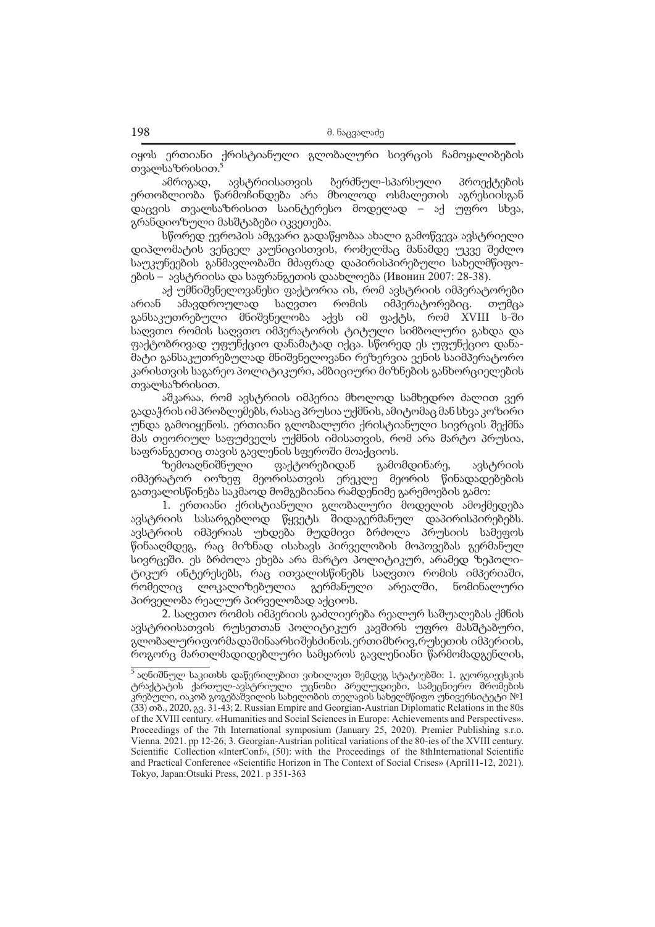იყოს ერთიანი ქრისტიანული გლობალური სივრცის ჩამოყალიბების თვალსაზრისით.

ამრიგად, ავსტრიისათვის ბერძნულ-სპარსული პროექტების ერთობლიობა წარმოჩინდება არა მხოლოდ ოსმალეთის აგრესიისგან დაცვის თვალსაზრისით საინტერესო მოდელად – აქ უფრო სხვა, გრანდიოზული მასშტაბები იკვეთება.

სწორედ ევროპის ამგვარი გადაწყობაა ახალი გამოწვევა ავსტრიელი დიპლომატის ვენცელ კაუნიცისთვის, რომელმაც მანამდე უკვე შეძლო საუკუნეების განმავლობაში მძაფრად დაპირისპირებული სახელმწიფოების – ავსტრიისა და საფრანგეთის დაახლოება (Ивонин 2007: 28-38).

აქ უმნიშვნელოვანესი ფაქტორია ის, რომ ავსტრიის იმპერატორები არიან ამავდროულად საღვთო რომის იმპერატორებიც. თუმცა განსაკუთრებული მნიშვნელობა აქვს იმ ფაქტს, რომ XVIII ს-ში საღვთო რომის საღვთო იმპერატორის ტიტული სიმბოლური გახდა და ფაქტობრივად უფუნქციო დანამატად იქცა. სწორედ ეს უფუნქციო დანამატი განსაკუთრებულად მნიშვნელოვანი რეზერვია ვენის საიმპერატორო კარისთვის საგარეო პოლიტიკური, ამბიციური მიზნების განხორციელების თვალსაზრისით.

აშკარაა, რომ ავსტრიის იმპერია მხოლოდ სამხედრო ძალით ვერ გადაჭრის იმ პრობლემებს, რასაც პრუსია უქმნის, ამიტომაც მან სხვა კოზირი უნდა გამოიყენოს. ერთიანი გლობალური ქრისტიანული სივრცის შექმნა მას თეორიულ საფუძველს უქმნის იმისათვის, რომ არა მარტო პრუსია, საფრანგეთიც თავის გავლენის სფეროში მოაქციოს.

ზემოაღნიშნული ფაქტორებიდან გამომდინარე, ავსტრიის იმპერატორ იოზეფ მეორისათვის ერეკლე მეორის წინადადებების გათვალისწინება საკმაოდ მომგებიანია რამდენიმე გარემოების გამო:

1. ერთიანი ქრისტიანული გლობალური მოდელის ამოქმედება ავსტრიის სასარგებლოდ წყვეტს შიდაგერმანულ დაპირისპირებებს. ავსტრიის იმპერიას უხდება მუდმივი ბრძოლა პრუსიის სამეფოს წინააღმდეგ, რაც მიზნად ისახავს პირველობის მოპოვებას გერმანულ სივრცეში. ეს ბრძოლა ეხება არა მარტო პოლიტიკურ, არამედ ზეპოლიტიკურ ინტერესებს, რაც ითვალისწინებს საღვთო რომის იმპერიაში, რომელიც ლოკალიზებულია გერმანული არეალში, ნომინალური პირველობა რეალურ პირველობად აქციოს.

2. საღვთო რომის იმპერიის გაძლიერება რეალურ საშუალებას ქმნის ავსტრიისათვის რუსეთთან პოლიტიკურ კავშირს უფრო მასშტაბური, გლობალური ფორმა და შინაარსი შესძინოს. ერთი მხრივ, რუსეთის იმპერიის, როგორც მართლმადიდებლური სამყაროს გავლენიანი წარმომადგენლის,

<sup>&</sup>lt;sup>5</sup> აღნიშნულ საკითხს დაწვრილებით ვიხილავთ შემდეგ სტატიებში: 1. გეორგიევსკის ტრაქტატის ქართულ-ავსტრიული უცნობი პრელუდიები, სამეცნიერო შრომების კრებული, იაკობ გოგებაშვილის სახელობის თელავის სახელმწიფო უნივერსიტეტი №1 (33) თბ., 2020, გვ. 31-43; 2. Russian Empire and Georgian-Austrian Diplomatic Relations in the 80s of the XVIII century. «Humanities and Social Sciences in Europe: Achievements and Perspectives». Proceedings of the 7th International symposium (January 25, 2020). Premier Publishing s.r.o. Vienna. 2021. pp 12-26; 3. Georgian-Austrian political variations of the 80-ies of the XVIII century. Scientific Collection «InterConf», (50): with the Proceedings of the 8thInternational Scientific and Practical Conference «Scientific Horizon in The Context of Social Crises» (April11-12, 2021). Tokyo, Japan:Otsuki Press, 2021. p 351-363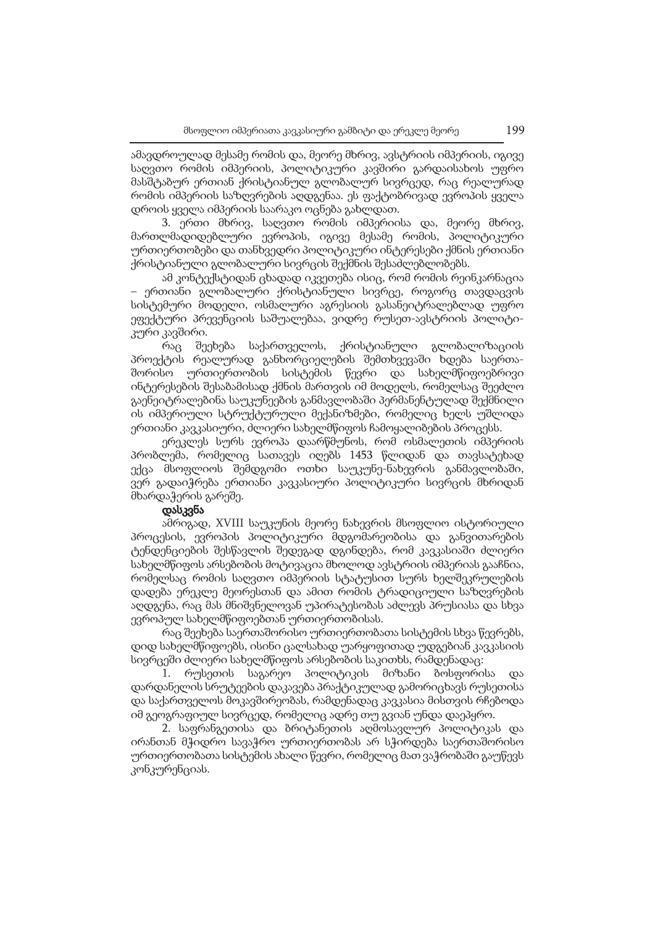ამავდროულად მესამე რომის და, მეორე მხრივ, ავსტრიის იმპერიის, იგივე საღვთო რომის იმპერიის, პოლიტიკური კავშირი გარდაისახოს უფრო მასშტაბურ ერთიან ქრისტიანულ გლობალურ სივრცედ, რაც რეალურად რომის იმპერიის საზღვრების აღდგენაა. ეს ფაქტობრივად ევროპის ყველა დროის ყველა იმპერიის საარაკო ოცნება გახლდათ.

3. ერთი მხრივ, საღვთო რომის იმპერიისა და, მეორე მხრივ, მართლმადიდებლური ევროპის, იგივე მესამე რომის, პოლიტიკური ურთიერთობები და თანხვედრი პოლიტიკური ინტერესები ქმნის ერთიანი ქრისტიანული გლობალური სივრცის შექმნის შესაძლებლობებს.

ამ კონტექსტიდან ცხადად იკვეთება ისიც, რომ რომის რეინკარნაცია – ერთიანი გლობალური ქრისტიანული სივრცე, როგორც თავდაცვის სისტემური მოდელი, ოსმალური აგრესიის გასანეიტრალებლად უფრო ეფექტური პრევენციის საშუალებაა, ვიდრე რუსეთ-ავსტრიის პოლიტიკური კავშირი.

რაც შეეხება საქართველოს, ქრისტიანული გლობალიზაციის პროექტის რეალურად განხორციელების შემთხვევაში ხდება საერთაშორისო ურთიერთობის სისტემის წევრი და სახელმწიფოებრივი ინტერესების შესაბამისად ქმნის მართვის იმ მოდელს, რომელსაც შეეძლო გაენეიტრალებინა საუკუნეების განმავლობაში პერმანენტულად შექმნილი ის იმპერიული სტრუქტურული მექანიზმები, რომელიც ხელს უშლიდა ერთიანი კავკასიური, ძლიერი სახელმწიფოს ჩამოყალიბების პროცესს.

ერეკლეს სურს ევროპა დაარწმუნოს, რომ ოსმალეთის იმპერიის პრობლემა, რომელიც სათავეს იღებს 1453 წლიდან და თავსატეხად ექცა მსოფლიოს შემდგომი ოთხი საუკუნე-ნახევრის განმავლობაში, ვერ გადაიჭრება ერთიანი კავკასიური პოლიტიკური სივრცის მხრიდან მხარდაჭერის გარეშე.

#### დასკვნა

ამრიგად, XVIII საუკუნის მეორე ნახევრის მსოფლიო ისტორიული პროცესის, ევროპის პოლიტიკური მდგომარეობისა და განვითარების ტენდენციების შესწავლის შედეგად დგინდება, რომ კავკასიაში ძლიერი სახელმწიფოს არსებობის მოტივაცია მხოლოდ ავსტრიის იმპერიას გააჩნია, რომელსაც რომის საღვთო იმპერიის სტატუსით სურს ხელშეკრულების დადება ერეკლე მეორესთან და ამით რომის ტრადიციული საზღვრების აღდგენა, რაც მას მნიშვნელოვან უპირატესობას აძლევს პრუსიასა და სხვა ევროპულ სახელმწიფოებთან ურთიერთობისას.

რაც შეეხება საერთაშორისო ურთიერთობათა სისტემის სხვა წევრებს, დიდ სახელმწიფოებს, ისინი ცალსახად უარყოფითად უდგებიან კავკასიის სივრცეში ძლიერი სახელმწიფოს არსებობის საკითხს, რამდენადაც:

1. რუსეთის საგარეო პოლიტიკის მიზანი ბოსფორისა და დარდანელის სრუტეების დაკავება პრაქტიკულად გამორიცხავს რუსეთისა და საქართველოს მოკავშირეობას, რამდენადაც კავკასია მისთვის რჩებოდა იმ გეოგრაფიულ სივრცედ, რომელიც ადრე თუ გვიან უნდა დაეპყრო.

2. საფრანგეთისა და ბრიტანეთის აღმოსავლურ პოლიტიკას და ირანთან მჭიდრო სავაჭრო ურთიერთობას არ სჭირდება საერთაშორისო ურთიერთობათა სისტემის ახალი წევრი, რომელიც მათ ვაჭრობაში გაუწევს კონკურენციას.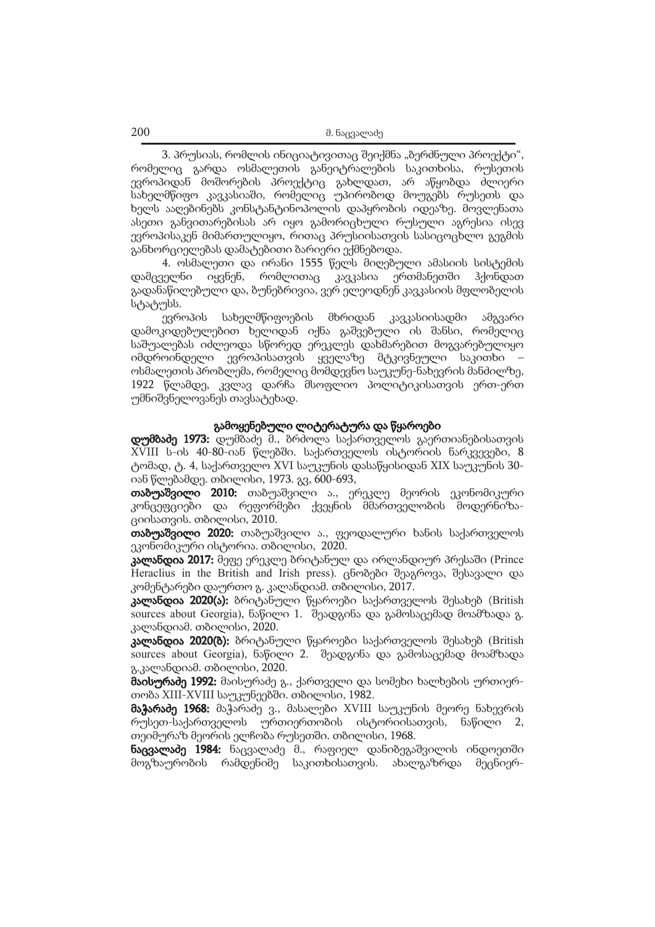3. პრუსიას, რომლის ინიციატივითაც შეიქმნა "ბერძნული პროექტი", რომელიც გარდა ოსმალეთის განეიტრალების საკითხისა, რუსეთის ევროპიდან მოშორების პროექტიც გახლდათ, არ აწყობდა ძლიერი სახელმწიფო კავკასიაში, რომელიც უპირობოდ მოუგებს რუსეთს და ხელს ააღებინებს კონსტანტინოპოლის დაპყრობის იდეაზე. მოვლენათა ასეთი განვითარებისას არ იყო გამორიცხული რუსული აგრესია ისევ ევროპისაკენ მიმართულიყო, რითაც პრუსიისათვის სასიცოცხლო გეგმის განხორციელებას დამატებითი ბარიერი ექმნებოდა.

4. ოსმალეთი და ირანი 1555 წელს მიღებული ამასიის სისტემის დამცველნი იყვნენ, რომლითაც კავკასია ერთმანეთში ჰქონდათ გადანაწილებული და, ბუნებრივია, ვერ ელეოდნენ კავკასიის მფლობელის სტატუსს.

ევროპის სახელმწიფოების მხრიდან კავკასიისადმი ამგვარი დამოკიდებულებით ხელიდან იქნა გაშვებული ის შანსი, რომელიც საშუალებას იძლეოდა სწორედ ერეკლეს დახმარებით მოგვარებულიყო იმდროინდელი ევროპისათვის ყველაზე მტკივნეული საკითხი – ოსმალეთის პრობლემა, რომელიც მომდევნო საუკუნე-ნახევრის მანძილზე, 1922 წლამდე, კვლავ დარჩა მსოფლიო პოლიტიკისათვის ერთ-ერთ უმნიშვნელოვანეს თავსატეხად.

### გამოყენებული ლიტერატურა და წყაროები

დუმბაძე 1973: დუმბაძე მ., ბრძოლა საქართველოს გაერთიანებისათვის XVIII ს-ის 40-80-იან წლებში. საქართველოს ისტორიის ნარკვევები, 8 ტომად, ტ. 4, საქართველო XVI საუკუნის დასაწყისიდან XIX საუკუნის 30 იან წლებამდე. თბილისი, 1973. გვ, 600-693,

თაბუაშვილი 2010: თაბუაშვილი ა., ერეკლე მეორის ეკონომიკური კონცეფციები და რეფორმები ქვეყნის მმართველობის მოდერნიზაციისათვის. თბილისი, 2010.

თაბუაშვილი 2020: თაბუაშვილი ა., ფეოდალური ხანის საქართველოს ეკონომიკური ისტორია. თბილისი, 2020.

კალანდია 2017: მეფე ერეკლე ბრიტანულ და ირლანდიურ პრესაში (Prince Heraclius in the British and Irish press). ცნობები შეაგროვა, შესავალი და კომენტარები დაურთო გ. კალანდიამ. თბილისი, 2017.

კალანდია 2020(ა): ბრიტანული წყაროები საქართველოს შესახებ (British sources about Georgia), ნაწილი 1. შეადგინა და გამოსაცემად მოამზადა გ. კალანდიამ. თბილისი, 2020.

**კალანდია 2020(ბ):** ბრიტანული წყაროები საქართველოს შესახებ (British sources about Georgia), ნაწილი 2. შეადგინა და გამოსაცემად მოამზადა გ.კალანდიამ. თბილისი, 2020.

მაისურაძე 1992: მაისურაძე გ., ქართველი და სომეხი ხალხების ურთიერთობა XIII-XVIII საუკუნეებში. თბილისი, 1982.

მაჭარაძე 1968: მაჭარაძე ვ., მასალები XVIII საუკუნის მეორე ნახევრის რუსეთ-საქართველოს ურთიერთობის ისტორიისათვის, ნაწილი 2, თეიმურაზ მეორის ელჩობა რუსეთში. თბილისი, 1968.

ნაცვალაძე 1984: ნაცვალაძე მ., რაფიელ დანიბეგაშვილის ინდოეთში მოგზაურობის რამდენიმე საკითხისათვის. ახალგაზრდა მეცნიერ